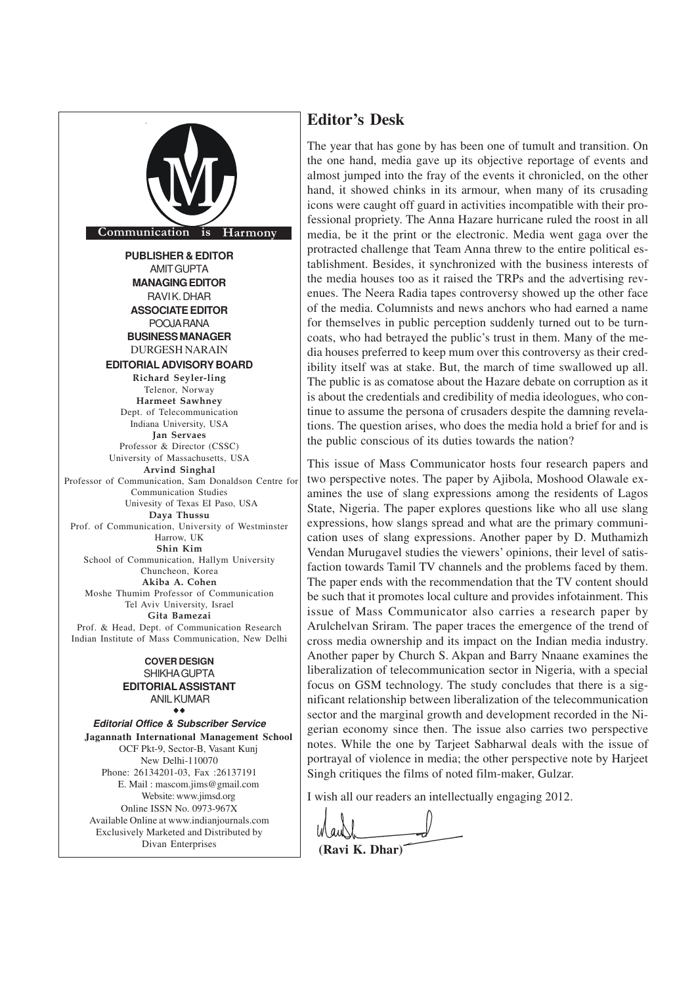

## **EDITORIALASSISTANT** ANIL KUMAR ®®

**Editorial Office & Subscriber Service Jagannath International Management School** OCF Pkt-9, Sector-B, Vasant Kunj New Delhi-110070 Phone: 26134201-03, Fax :26137191 E. Mail : mascom.jims@gmail.com Website: www.jimsd.org Online ISSN No. 0973-967X Available Online at www.indianjournals.com Exclusively Marketed and Distributed by Divan Enterprises

## **Editor's Desk**

The year that has gone by has been one of tumult and transition. On the one hand, media gave up its objective reportage of events and almost jumped into the fray of the events it chronicled, on the other hand, it showed chinks in its armour, when many of its crusading icons were caught off guard in activities incompatible with their professional propriety. The Anna Hazare hurricane ruled the roost in all media, be it the print or the electronic. Media went gaga over the protracted challenge that Team Anna threw to the entire political establishment. Besides, it synchronized with the business interests of the media houses too as it raised the TRPs and the advertising revenues. The Neera Radia tapes controversy showed up the other face of the media. Columnists and news anchors who had earned a name for themselves in public perception suddenly turned out to be turncoats, who had betrayed the public's trust in them. Many of the media houses preferred to keep mum over this controversy as their credibility itself was at stake. But, the march of time swallowed up all. The public is as comatose about the Hazare debate on corruption as it is about the credentials and credibility of media ideologues, who continue to assume the persona of crusaders despite the damning revelations. The question arises, who does the media hold a brief for and is the public conscious of its duties towards the nation?

This issue of Mass Communicator hosts four research papers and two perspective notes. The paper by Ajibola, Moshood Olawale examines the use of slang expressions among the residents of Lagos State, Nigeria. The paper explores questions like who all use slang expressions, how slangs spread and what are the primary communication uses of slang expressions. Another paper by D. Muthamizh Vendan Murugavel studies the viewers' opinions, their level of satisfaction towards Tamil TV channels and the problems faced by them. The paper ends with the recommendation that the TV content should be such that it promotes local culture and provides infotainment. This issue of Mass Communicator also carries a research paper by Arulchelvan Sriram. The paper traces the emergence of the trend of cross media ownership and its impact on the Indian media industry. Another paper by Church S. Akpan and Barry Nnaane examines the liberalization of telecommunication sector in Nigeria, with a special focus on GSM technology. The study concludes that there is a significant relationship between liberalization of the telecommunication sector and the marginal growth and development recorded in the Nigerian economy since then. The issue also carries two perspective notes. While the one by Tarjeet Sabharwal deals with the issue of portrayal of violence in media; the other perspective note by Harjeet Singh critiques the films of noted film-maker, Gulzar.

I wish all our readers an intellectually engaging 2012.

**(Ravi K. Dhar)**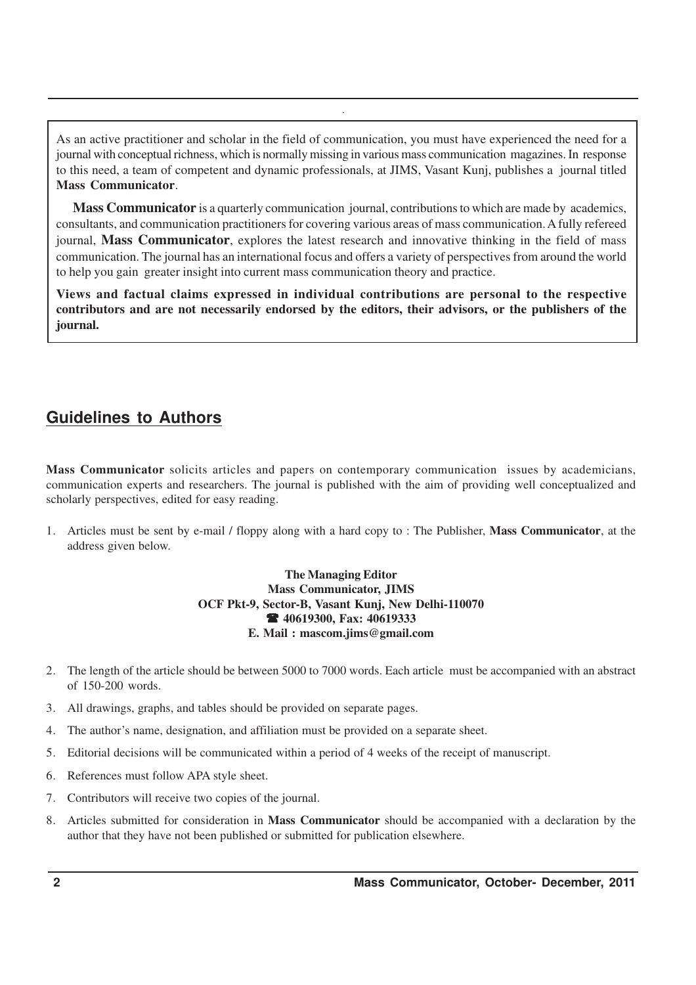As an active practitioner and scholar in the field of communication, you must have experienced the need for a journal with conceptual richness, which is normally missing in various mass communication magazines. In response to this need, a team of competent and dynamic professionals, at JIMS, Vasant Kunj, publishes a journal titled **Mass Communicator**.

**Mass Communicator** is a quarterly communication journal, contributions to which are made by academics, consultants, and communication practitioners for covering various areas of mass communication. A fully refereed journal, **Mass Communicator**, explores the latest research and innovative thinking in the field of mass communication. The journal has an international focus and offers a variety of perspectives from around the world to help you gain greater insight into current mass communication theory and practice.

**Views and factual claims expressed in individual contributions are personal to the respective contributors and are not necessarily endorsed by the editors, their advisors, or the publishers of the journal.**

# **Guidelines to Authors**

**Mass Communicator** solicits articles and papers on contemporary communication issues by academicians, communication experts and researchers. The journal is published with the aim of providing well conceptualized and scholarly perspectives, edited for easy reading.

1. Articles must be sent by e-mail / floppy along with a hard copy to : The Publisher, **Mass Communicator**, at the address given below.

### **The Managing Editor Mass Communicator, JIMS OCF Pkt-9, Sector-B, Vasant Kunj, New Delhi-110070** ( **40619300, Fax: 40619333 E. Mail : mascom.jims@gmail.com**

- 2. The length of the article should be between 5000 to 7000 words. Each article must be accompanied with an abstract of 150-200 words.
- 3. All drawings, graphs, and tables should be provided on separate pages.
- 4. The author's name, designation, and affiliation must be provided on a separate sheet.
- 5. Editorial decisions will be communicated within a period of 4 weeks of the receipt of manuscript.
- 6. References must follow APA style sheet.
- 7. Contributors will receive two copies of the journal.
- 8. Articles submitted for consideration in **Mass Communicator** should be accompanied with a declaration by the author that they have not been published or submitted for publication elsewhere.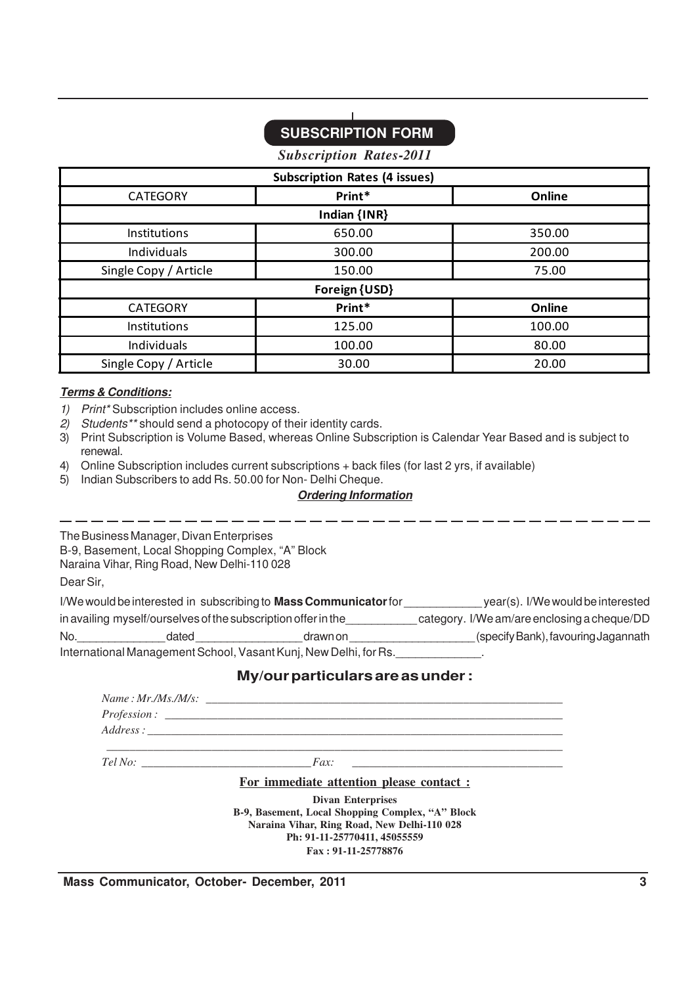# **SUBSCRIPTION FORM**

*Subscription Rates-2011*

| <b>Subscription Rates (4 issues)</b> |              |        |  |
|--------------------------------------|--------------|--------|--|
| <b>CATEGORY</b>                      | Print*       | Online |  |
|                                      | Indian {INR} |        |  |
| Institutions                         | 650.00       | 350.00 |  |
| Individuals                          | 300.00       | 200.00 |  |
| Single Copy / Article                | 150.00       | 75.00  |  |
| Foreign {USD}                        |              |        |  |
| <b>CATEGORY</b>                      | Print*       | Online |  |
| Institutions                         | 125.00       | 100.00 |  |
| Individuals                          | 100.00       | 80.00  |  |
| Single Copy / Article                | 30.00        | 20.00  |  |

### **Terms & Conditions:**

- 1) Print\* Subscription includes online access.
- 2) Students\*\* should send a photocopy of their identity cards.
- 3) Print Subscription is Volume Based, whereas Online Subscription is Calendar Year Based and is subject to renewal.
- 4) Online Subscription includes current subscriptions + back files (for last 2 yrs, if available)
- 5) Indian Subscribers to add Rs. 50.00 for Non- Delhi Cheque.

### **Ordering Information**

The Business Manager, Divan Enterprises B-9, Basement, Local Shopping Complex, "A" Block Naraina Vihar, Ring Road, New Delhi-110 028

Dear Sir,

| I/We would be interested in subscribing to Mass Communicator for |       | year(s). I/We would be interested           |                                     |
|------------------------------------------------------------------|-------|---------------------------------------------|-------------------------------------|
| in availing myself/ourselves of the subscription offer in the    |       | category. I/We am/are enclosing a cheque/DD |                                     |
| No.                                                              | dated | drawnon                                     | (specify Bank), favouring Jagannath |
| International Management School, Vasant Kunj, New Delhi, for Rs. |       |                                             |                                     |

## **My/our particulars are as under :**

**Ph: 91-11-25770411, 45055559 Fax : 91-11-25778876**

| For immediate attention please contact:                                                         |
|-------------------------------------------------------------------------------------------------|
| <b>Divan Enterprises</b>                                                                        |
| B-9, Basement, Local Shopping Complex, "A" Block<br>Naraina Vihar, Ring Road, New Delhi-110 028 |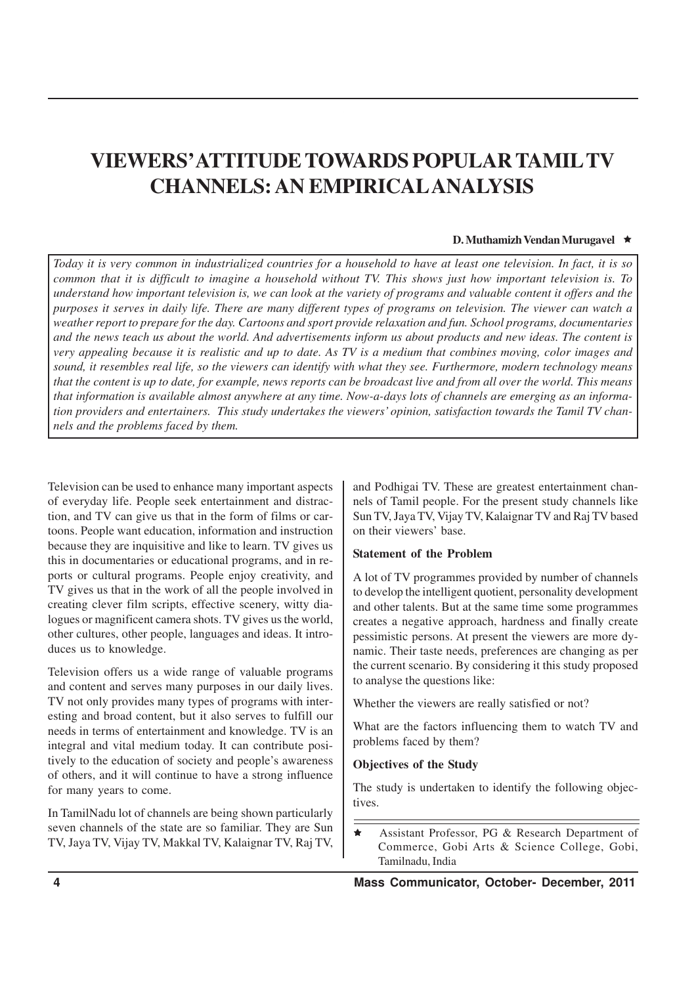# **VIEWERS' ATTITUDE TOWARDS POPULAR TAMILTV CHANNELS: AN EMPIRICALANALYSIS**

#### **D. Muthamizh Vendan Murugavel ★**

*Today it is very common in industrialized countries for a household to have at least one television. In fact, it is so common that it is difficult to imagine a household without TV. This shows just how important television is. To understand how important television is, we can look at the variety of programs and valuable content it offers and the purposes it serves in daily life. There are many different types of programs on television. The viewer can watch a weather report to prepare for the day. Cartoons and sport provide relaxation and fun. School programs, documentaries and the news teach us about the world. And advertisements inform us about products and new ideas. The content is very appealing because it is realistic and up to date. As TV is a medium that combines moving, color images and sound, it resembles real life, so the viewers can identify with what they see. Furthermore, modern technology means that the content is up to date, for example, news reports can be broadcast live and from all over the world. This means that information is available almost anywhere at any time. Now-a-days lots of channels are emerging as an information providers and entertainers. This study undertakes the viewers' opinion, satisfaction towards the Tamil TV channels and the problems faced by them.*

Television can be used to enhance many important aspects of everyday life. People seek entertainment and distraction, and TV can give us that in the form of films or cartoons. People want education, information and instruction because they are inquisitive and like to learn. TV gives us this in documentaries or educational programs, and in reports or cultural programs. People enjoy creativity, and TV gives us that in the work of all the people involved in creating clever film scripts, effective scenery, witty dialogues or magnificent camera shots. TV gives us the world, other cultures, other people, languages and ideas. It introduces us to knowledge.

Television offers us a wide range of valuable programs and content and serves many purposes in our daily lives. TV not only provides many types of programs with interesting and broad content, but it also serves to fulfill our needs in terms of entertainment and knowledge. TV is an integral and vital medium today. It can contribute positively to the education of society and people's awareness of others, and it will continue to have a strong influence for many years to come.

In TamilNadu lot of channels are being shown particularly seven channels of the state are so familiar. They are Sun TV, Jaya TV, Vijay TV, Makkal TV, Kalaignar TV, Raj TV, and Podhigai TV. These are greatest entertainment channels of Tamil people. For the present study channels like Sun TV, Jaya TV, Vijay TV, Kalaignar TV and Raj TV based on their viewers' base.

## **Statement of the Problem**

A lot of TV programmes provided by number of channels to develop the intelligent quotient, personality development and other talents. But at the same time some programmes creates a negative approach, hardness and finally create pessimistic persons. At present the viewers are more dynamic. Their taste needs, preferences are changing as per the current scenario. By considering it this study proposed to analyse the questions like:

Whether the viewers are really satisfied or not?

What are the factors influencing them to watch TV and problems faced by them?

#### **Objectives of the Study**

The study is undertaken to identify the following objectives.

ê Assistant Professor, PG & Research Department of Commerce, Gobi Arts & Science College, Gobi, Tamilnadu, India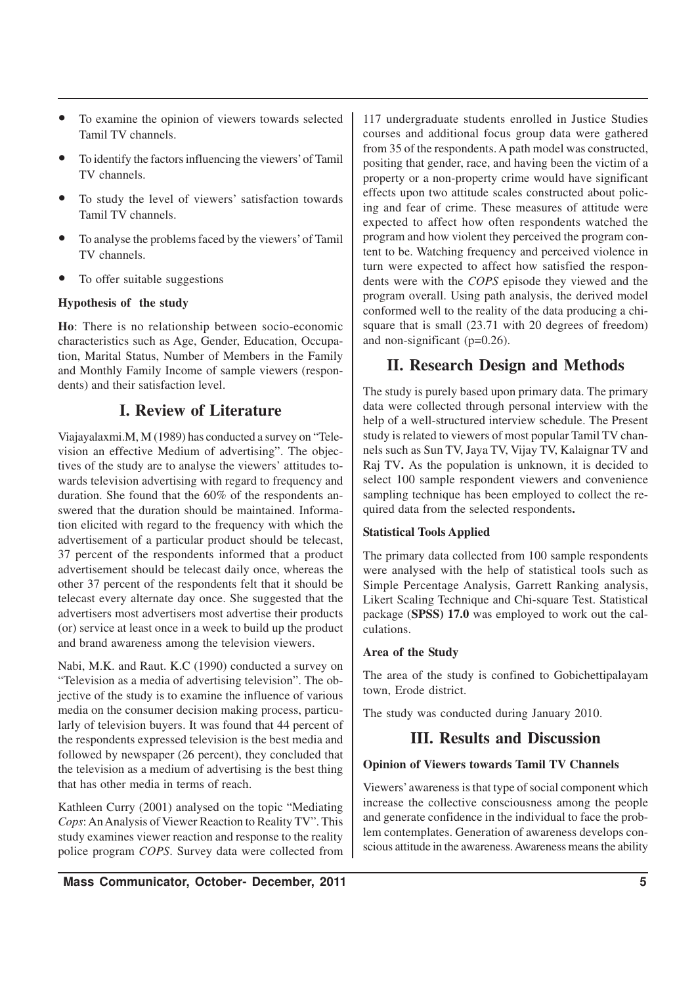- To examine the opinion of viewers towards selected Tamil TV channels.
- To identify the factors influencing the viewers' of Tamil TV channels.
- To study the level of viewers' satisfaction towards Tamil TV channels.
- To analyse the problems faced by the viewers' of Tamil TV channels.
- To offer suitable suggestions

### **Hypothesis of the study**

**Ho**: There is no relationship between socio-economic characteristics such as Age, Gender, Education, Occupation, Marital Status, Number of Members in the Family and Monthly Family Income of sample viewers (respondents) and their satisfaction level.

## **I. Review of Literature**

Viajayalaxmi.M, M (1989) has conducted a survey on "Television an effective Medium of advertising". The objectives of the study are to analyse the viewers' attitudes towards television advertising with regard to frequency and duration. She found that the 60% of the respondents answered that the duration should be maintained. Information elicited with regard to the frequency with which the advertisement of a particular product should be telecast, 37 percent of the respondents informed that a product advertisement should be telecast daily once, whereas the other 37 percent of the respondents felt that it should be telecast every alternate day once. She suggested that the advertisers most advertisers most advertise their products (or) service at least once in a week to build up the product and brand awareness among the television viewers.

Nabi, M.K. and Raut. K.C (1990) conducted a survey on "Television as a media of advertising television". The objective of the study is to examine the influence of various media on the consumer decision making process, particularly of television buyers. It was found that 44 percent of the respondents expressed television is the best media and followed by newspaper (26 percent), they concluded that the television as a medium of advertising is the best thing that has other media in terms of reach.

Kathleen Curry (2001) analysed on the topic "Mediating *Cops*: An Analysis of Viewer Reaction to Reality TV". This study examines viewer reaction and response to the reality police program *COPS*. Survey data were collected from

117 undergraduate students enrolled in Justice Studies courses and additional focus group data were gathered from 35 of the respondents. A path model was constructed, positing that gender, race, and having been the victim of a property or a non-property crime would have significant effects upon two attitude scales constructed about policing and fear of crime. These measures of attitude were expected to affect how often respondents watched the program and how violent they perceived the program content to be. Watching frequency and perceived violence in turn were expected to affect how satisfied the respondents were with the *COPS* episode they viewed and the program overall. Using path analysis, the derived model conformed well to the reality of the data producing a chisquare that is small (23.71 with 20 degrees of freedom) and non-significant (p=0.26).

## **II. Research Design and Methods**

The study is purely based upon primary data. The primary data were collected through personal interview with the help of a well-structured interview schedule. The Present study is related to viewers of most popular Tamil TV channels such as Sun TV, Jaya TV, Vijay TV, Kalaignar TV and Raj TV**.** As the population is unknown, it is decided to select 100 sample respondent viewers and convenience sampling technique has been employed to collect the required data from the selected respondents**.**

## **Statistical Tools Applied**

The primary data collected from 100 sample respondents were analysed with the help of statistical tools such as Simple Percentage Analysis, Garrett Ranking analysis, Likert Scaling Technique and Chi-square Test. Statistical package (**SPSS) 17.0** was employed to work out the calculations.

## **Area of the Study**

The area of the study is confined to Gobichettipalayam town, Erode district.

The study was conducted during January 2010.

## **III. Results and Discussion**

## **Opinion of Viewers towards Tamil TV Channels**

Viewers' awareness is that type of social component which increase the collective consciousness among the people and generate confidence in the individual to face the problem contemplates. Generation of awareness develops conscious attitude in the awareness. Awareness means the ability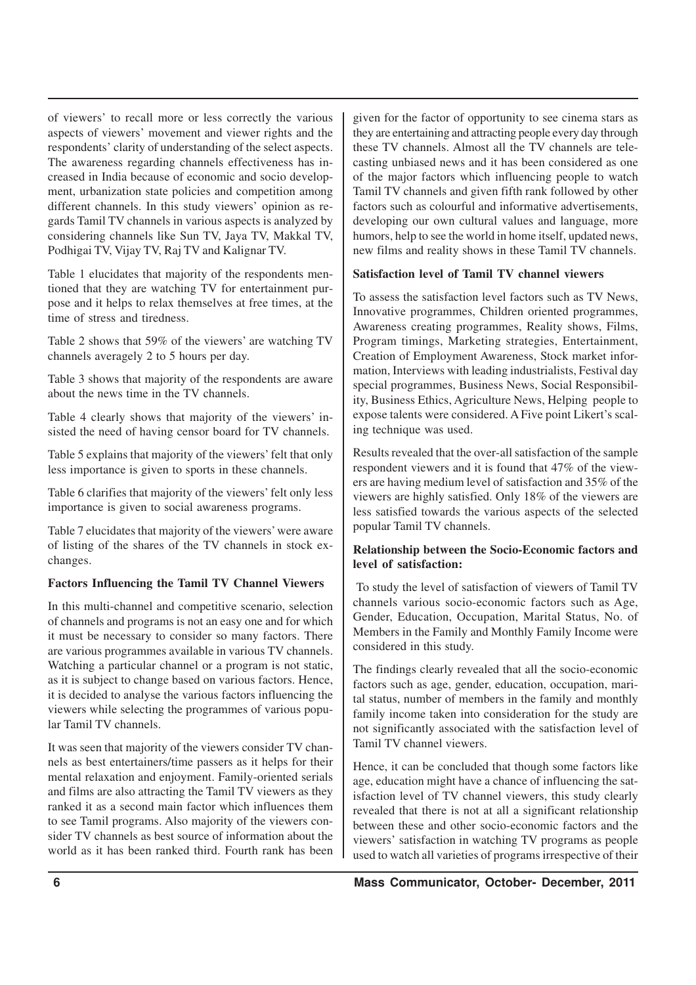of viewers' to recall more or less correctly the various aspects of viewers' movement and viewer rights and the respondents' clarity of understanding of the select aspects. The awareness regarding channels effectiveness has increased in India because of economic and socio development, urbanization state policies and competition among different channels. In this study viewers' opinion as regards Tamil TV channels in various aspects is analyzed by considering channels like Sun TV, Jaya TV, Makkal TV, Podhigai TV, Vijay TV, Raj TV and Kalignar TV.

Table 1 elucidates that majority of the respondents mentioned that they are watching TV for entertainment purpose and it helps to relax themselves at free times, at the time of stress and tiredness.

Table 2 shows that 59% of the viewers' are watching TV channels averagely 2 to 5 hours per day.

Table 3 shows that majority of the respondents are aware about the news time in the TV channels.

Table 4 clearly shows that majority of the viewers' insisted the need of having censor board for TV channels.

Table 5 explains that majority of the viewers' felt that only less importance is given to sports in these channels.

Table 6 clarifies that majority of the viewers' felt only less importance is given to social awareness programs.

Table 7 elucidates that majority of the viewers' were aware of listing of the shares of the TV channels in stock exchanges.

#### **Factors Influencing the Tamil TV Channel Viewers**

In this multi-channel and competitive scenario, selection of channels and programs is not an easy one and for which it must be necessary to consider so many factors. There are various programmes available in various TV channels. Watching a particular channel or a program is not static, as it is subject to change based on various factors. Hence, it is decided to analyse the various factors influencing the viewers while selecting the programmes of various popular Tamil TV channels.

It was seen that majority of the viewers consider TV channels as best entertainers/time passers as it helps for their mental relaxation and enjoyment. Family-oriented serials and films are also attracting the Tamil TV viewers as they ranked it as a second main factor which influences them to see Tamil programs. Also majority of the viewers consider TV channels as best source of information about the world as it has been ranked third. Fourth rank has been given for the factor of opportunity to see cinema stars as they are entertaining and attracting people every day through these TV channels. Almost all the TV channels are telecasting unbiased news and it has been considered as one of the major factors which influencing people to watch Tamil TV channels and given fifth rank followed by other factors such as colourful and informative advertisements, developing our own cultural values and language, more humors, help to see the world in home itself, updated news, new films and reality shows in these Tamil TV channels.

#### **Satisfaction level of Tamil TV channel viewers**

To assess the satisfaction level factors such as TV News, Innovative programmes, Children oriented programmes, Awareness creating programmes, Reality shows, Films, Program timings, Marketing strategies, Entertainment, Creation of Employment Awareness, Stock market information, Interviews with leading industrialists, Festival day special programmes, Business News, Social Responsibility, Business Ethics, Agriculture News, Helping people to expose talents were considered. A Five point Likert's scaling technique was used.

Results revealed that the over-all satisfaction of the sample respondent viewers and it is found that 47% of the viewers are having medium level of satisfaction and 35% of the viewers are highly satisfied. Only 18% of the viewers are less satisfied towards the various aspects of the selected popular Tamil TV channels.

#### **Relationship between the Socio-Economic factors and level of satisfaction:**

To study the level of satisfaction of viewers of Tamil TV channels various socio-economic factors such as Age, Gender, Education, Occupation, Marital Status, No. of Members in the Family and Monthly Family Income were considered in this study.

The findings clearly revealed that all the socio-economic factors such as age, gender, education, occupation, marital status, number of members in the family and monthly family income taken into consideration for the study are not significantly associated with the satisfaction level of Tamil TV channel viewers.

Hence, it can be concluded that though some factors like age, education might have a chance of influencing the satisfaction level of TV channel viewers, this study clearly revealed that there is not at all a significant relationship between these and other socio-economic factors and the viewers' satisfaction in watching TV programs as people used to watch all varieties of programs irrespective of their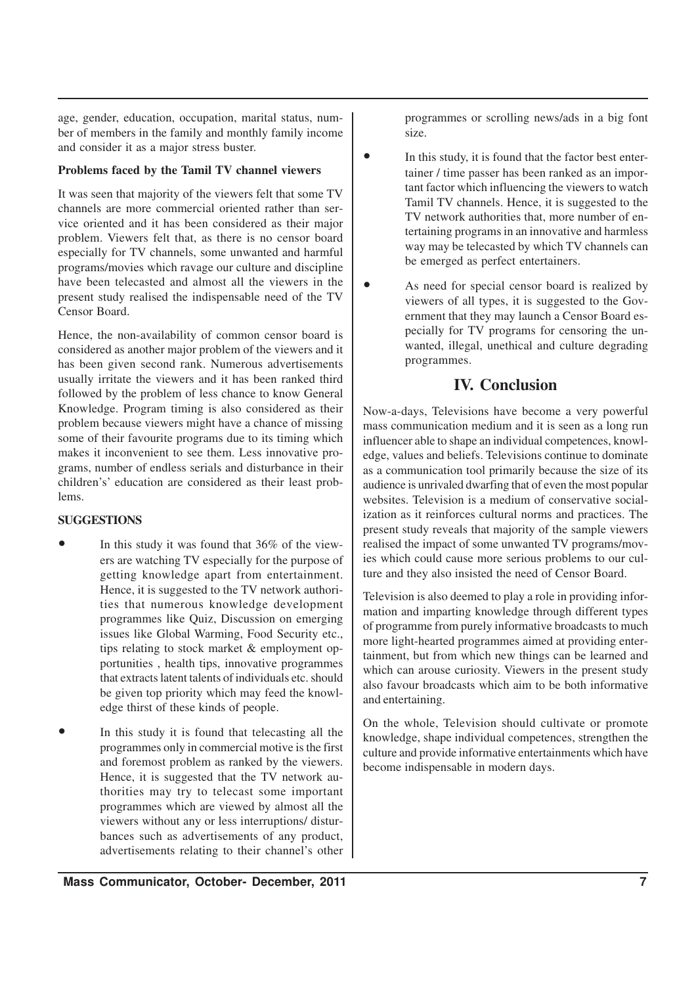age, gender, education, occupation, marital status, number of members in the family and monthly family income and consider it as a major stress buster.

#### **Problems faced by the Tamil TV channel viewers**

It was seen that majority of the viewers felt that some TV channels are more commercial oriented rather than service oriented and it has been considered as their major problem. Viewers felt that, as there is no censor board especially for TV channels, some unwanted and harmful programs/movies which ravage our culture and discipline have been telecasted and almost all the viewers in the present study realised the indispensable need of the TV Censor Board.

Hence, the non-availability of common censor board is considered as another major problem of the viewers and it has been given second rank. Numerous advertisements usually irritate the viewers and it has been ranked third followed by the problem of less chance to know General Knowledge. Program timing is also considered as their problem because viewers might have a chance of missing some of their favourite programs due to its timing which makes it inconvenient to see them. Less innovative programs, number of endless serials and disturbance in their children's' education are considered as their least problems.

#### **SUGGESTIONS**

- In this study it was found that 36% of the viewers are watching TV especially for the purpose of getting knowledge apart from entertainment. Hence, it is suggested to the TV network authorities that numerous knowledge development programmes like Quiz, Discussion on emerging issues like Global Warming, Food Security etc., tips relating to stock market & employment opportunities , health tips, innovative programmes that extracts latent talents of individuals etc. should be given top priority which may feed the knowledge thirst of these kinds of people.
- In this study it is found that telecasting all the programmes only in commercial motive is the first and foremost problem as ranked by the viewers. Hence, it is suggested that the TV network authorities may try to telecast some important programmes which are viewed by almost all the viewers without any or less interruptions/ disturbances such as advertisements of any product, advertisements relating to their channel's other

programmes or scrolling news/ads in a big font size.

- In this study, it is found that the factor best entertainer / time passer has been ranked as an important factor which influencing the viewers to watch Tamil TV channels. Hence, it is suggested to the TV network authorities that, more number of entertaining programs in an innovative and harmless way may be telecasted by which TV channels can be emerged as perfect entertainers.
- As need for special censor board is realized by viewers of all types, it is suggested to the Government that they may launch a Censor Board especially for TV programs for censoring the unwanted, illegal, unethical and culture degrading programmes.

## **IV. Conclusion**

Now-a-days, Televisions have become a very powerful mass communication medium and it is seen as a long run influencer able to shape an individual competences, knowledge, values and beliefs. Televisions continue to dominate as a communication tool primarily because the size of its audience is unrivaled dwarfing that of even the most popular websites. Television is a medium of conservative socialization as it reinforces cultural norms and practices. The present study reveals that majority of the sample viewers realised the impact of some unwanted TV programs/movies which could cause more serious problems to our culture and they also insisted the need of Censor Board.

Television is also deemed to play a role in providing information and imparting knowledge through different types of programme from purely informative broadcasts to much more light-hearted programmes aimed at providing entertainment, but from which new things can be learned and which can arouse curiosity. Viewers in the present study also favour broadcasts which aim to be both informative and entertaining.

On the whole, Television should cultivate or promote knowledge, shape individual competences, strengthen the culture and provide informative entertainments which have become indispensable in modern days.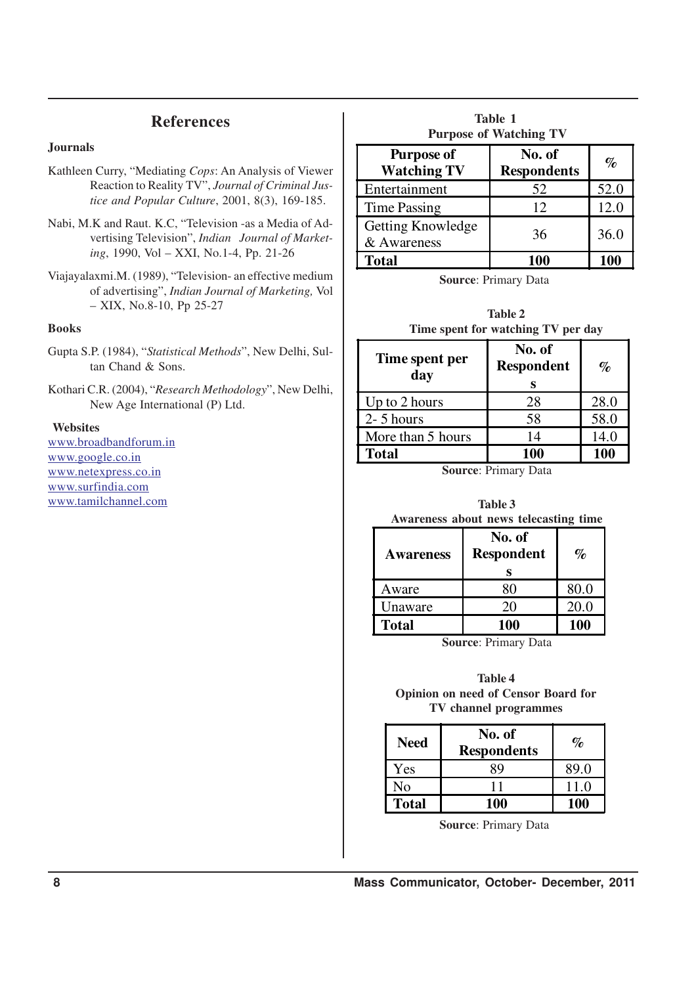## **References**

#### **Journals**

- Kathleen Curry, "Mediating *Cops*: An Analysis of Viewer Reaction to Reality TV", *Journal of Criminal Justice and Popular Culture*, 2001, 8(3), 169-185.
- Nabi, M.K and Raut. K.C, "Television -as a Media of Advertising Television", *Indian Journal of Marketing*, 1990, Vol – XXI, No.1-4, Pp. 21-26
- Viajayalaxmi.M. (1989), "Television- an effective medium of advertising", *Indian Journal of Marketing,* Vol – XIX, No.8-10, Pp 25-27

#### **Books**

- Gupta S.P. (1984), "*Statistical Methods*", New Delhi, Sultan Chand & Sons.
- Kothari C.R. (2004), "*Research Methodology*", New Delhi, New Age International (P) Ltd.

#### **Websites**

www.broadbandforum.in www.google.co.in www.netexpress.co.in www.surfindia.com www.tamilchannel.com

| <b>Table 1</b><br><b>Purpose of Watching TV</b> |                              |      |  |
|-------------------------------------------------|------------------------------|------|--|
| <b>Purpose of</b><br><b>Watching TV</b>         | No. of<br><b>Respondents</b> | $\%$ |  |
| Entertainment                                   | 52                           | 52.0 |  |
| <b>Time Passing</b>                             | 12                           | 12.0 |  |
| Getting Knowledge<br>& Awareness                | 36                           | 36.0 |  |
| <b>Total</b>                                    | 100                          | 100  |  |

**Source**: Primary Data

|                                    | <b>Table 2</b> |  |  |
|------------------------------------|----------------|--|--|
| Time spent for watching TV per day |                |  |  |

| Time spent per<br>day | No. of<br><b>Respondent</b> | $\%$ |
|-----------------------|-----------------------------|------|
| $\vert$ Up to 2 hours | 28                          | 28.0 |
| $2 - 5$ hours         | 58                          | 58.0 |
| More than 5 hours     | 14                          | 14.0 |
| <b>Total</b>          | 100                         | 100  |

**Source**: Primary Data

| Table 3 |  |  |                                       |  |
|---------|--|--|---------------------------------------|--|
|         |  |  | Awareness about news telecasting time |  |

| <b>Awareness</b> | No. of<br><b>Respondent</b> | $\%$ |
|------------------|-----------------------------|------|
| Aware            |                             | 80.0 |
| Unaware          | 20                          | 20.0 |
| <b>Total</b>     | <b>100</b>                  | 100  |

**Source**: Primary Data

**Table 4 Opinion on need of Censor Board for TV channel programmes**

| <b>Need</b>  | No. of<br><b>Respondents</b> | $\mathcal{O}_{\mathcal{D}}$ |
|--------------|------------------------------|-----------------------------|
| Yes          | R9                           | 89.0                        |
| No           |                              | 11.0                        |
| <b>Total</b> | 100                          | 100                         |

**Source**: Primary Data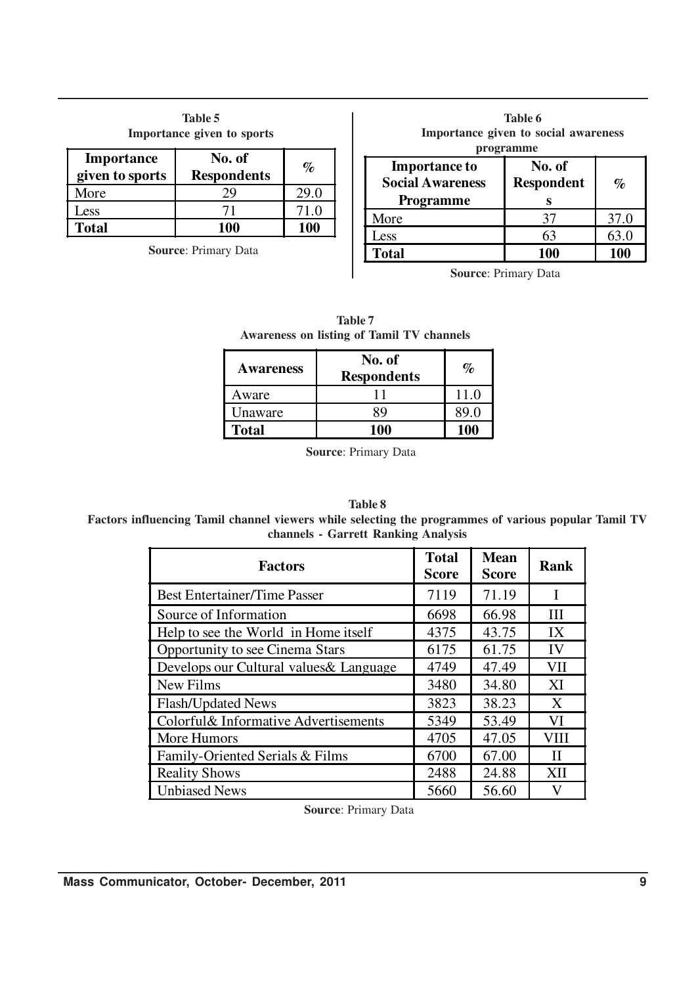| <b>Table 5</b><br>Importance given to sports |                              |      |  |
|----------------------------------------------|------------------------------|------|--|
| <b>Importance</b><br>given to sports         | No. of<br><b>Respondents</b> | $\%$ |  |
| More                                         | 29                           | 29.0 |  |
| Less                                         | 71                           | 71.0 |  |
| <b>Total</b>                                 | 100                          | 100  |  |

**Source**: Primary Data

| Table 6<br>Importance given to social awareness<br>programme        |                                  |      |  |
|---------------------------------------------------------------------|----------------------------------|------|--|
| <b>Importance to</b><br><b>Social Awareness</b><br><b>Programme</b> | No. of<br><b>Respondent</b><br>S | $\%$ |  |
| More                                                                | 37                               | 37.0 |  |
| Less                                                                | 63                               | 63.0 |  |
| <b>Total</b>                                                        | 100                              | 100  |  |
|                                                                     |                                  |      |  |

**Source**: Primary Data

| <b>Table 7</b><br><b>Awareness on listing of Tamil TV channels</b> |                                                                           |  |  |
|--------------------------------------------------------------------|---------------------------------------------------------------------------|--|--|
| <b>Awareness</b>                                                   | No. of<br>$\mathbf{D}_{\alpha\alpha\mathbf{n}}$ and $\alpha\mathbf{n}$ to |  |  |

| <b>Awareness</b> | . <i>.</i><br><b>Respondents</b> | $\%$ |
|------------------|----------------------------------|------|
| Aware            |                                  | 11 0 |
| Unaware          | 30                               | 89 O |
| Total            | 100                              | 100  |

**Source**: Primary Data

#### **Table 8**

**Factors influencing Tamil channel viewers while selecting the programmes of various popular Tamil TV channels - Garrett Ranking Analysis**

| <b>Factors</b>                          | <b>Total</b><br><b>Score</b> | <b>Mean</b><br><b>Score</b> | Rank        |
|-----------------------------------------|------------------------------|-----------------------------|-------------|
| <b>Best Entertainer/Time Passer</b>     | 7119                         | 71.19                       | I           |
| Source of Information                   | 6698                         | 66.98                       | IΙI         |
| Help to see the World in Home itself    | 4375                         | 43.75                       | IX          |
| Opportunity to see Cinema Stars         | 6175                         | 61.75                       | IV          |
| Develops our Cultural values & Language | 4749                         | 47.49                       | VII         |
| New Films                               | 3480                         | 34.80                       | XI          |
| <b>Flash/Updated News</b>               | 3823                         | 38.23                       | X           |
| Colorful& Informative Advertisements    | 5349                         | 53.49                       | VI          |
| More Humors                             | 4705                         | 47.05                       | VIII        |
| Family-Oriented Serials & Films         | 6700                         | 67.00                       | $_{\rm II}$ |
| <b>Reality Shows</b>                    | 2488                         | 24.88                       | XII         |
| <b>Unbiased News</b>                    | 5660                         | 56.60                       | V           |

**Source**: Primary Data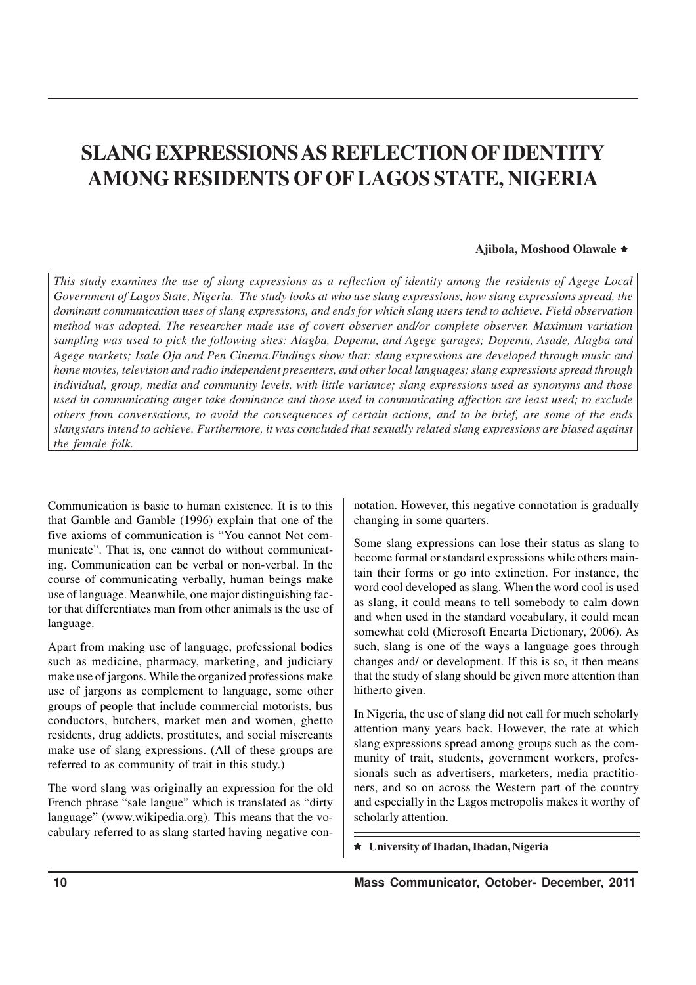# **SLANG EXPRESSIONS AS REFLECTION OF IDENTITY AMONG RESIDENTS OF OF LAGOS STATE, NIGERIA**

#### **Ajibola, Moshood Olawale** ê

*This study examines the use of slang expressions as a reflection of identity among the residents of Agege Local Government of Lagos State, Nigeria. The study looks at who use slang expressions, how slang expressions spread, the dominant communication uses of slang expressions, and ends for which slang users tend to achieve. Field observation method was adopted. The researcher made use of covert observer and/or complete observer. Maximum variation sampling was used to pick the following sites: Alagba, Dopemu, and Agege garages; Dopemu, Asade, Alagba and Agege markets; Isale Oja and Pen Cinema.Findings show that: slang expressions are developed through music and home movies, television and radio independent presenters, and other local languages; slang expressions spread through individual, group, media and community levels, with little variance; slang expressions used as synonyms and those used in communicating anger take dominance and those used in communicating affection are least used; to exclude others from conversations, to avoid the consequences of certain actions, and to be brief, are some of the ends slangstars intend to achieve. Furthermore, it was concluded that sexually related slang expressions are biased against the female folk.*

Communication is basic to human existence. It is to this that Gamble and Gamble (1996) explain that one of the five axioms of communication is "You cannot Not communicate". That is, one cannot do without communicating. Communication can be verbal or non-verbal. In the course of communicating verbally, human beings make use of language. Meanwhile, one major distinguishing factor that differentiates man from other animals is the use of language.

Apart from making use of language, professional bodies such as medicine, pharmacy, marketing, and judiciary make use of jargons. While the organized professions make use of jargons as complement to language, some other groups of people that include commercial motorists, bus conductors, butchers, market men and women, ghetto residents, drug addicts, prostitutes, and social miscreants make use of slang expressions. (All of these groups are referred to as community of trait in this study.)

The word slang was originally an expression for the old French phrase "sale langue" which is translated as "dirty language" (www.wikipedia.org). This means that the vocabulary referred to as slang started having negative connotation. However, this negative connotation is gradually changing in some quarters.

Some slang expressions can lose their status as slang to become formal or standard expressions while others maintain their forms or go into extinction. For instance, the word cool developed as slang. When the word cool is used as slang, it could means to tell somebody to calm down and when used in the standard vocabulary, it could mean somewhat cold (Microsoft Encarta Dictionary, 2006). As such, slang is one of the ways a language goes through changes and/ or development. If this is so, it then means that the study of slang should be given more attention than hitherto given.

In Nigeria, the use of slang did not call for much scholarly attention many years back. However, the rate at which slang expressions spread among groups such as the community of trait, students, government workers, professionals such as advertisers, marketers, media practitioners, and so on across the Western part of the country and especially in the Lagos metropolis makes it worthy of scholarly attention.

ê **University of Ibadan, Ibadan, Nigeria**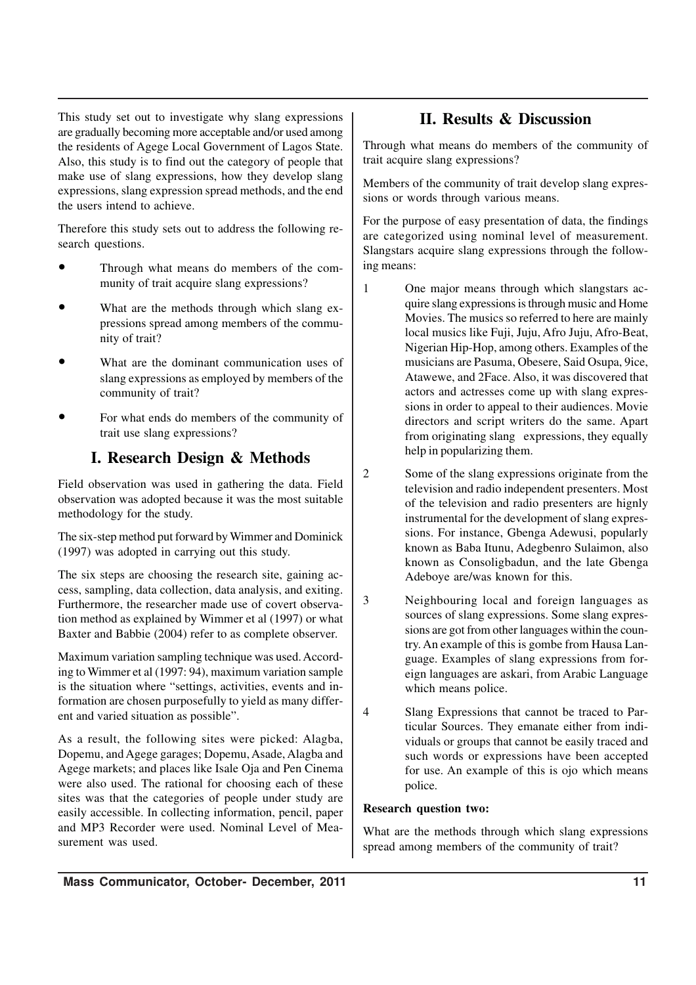This study set out to investigate why slang expressions are gradually becoming more acceptable and/or used among the residents of Agege Local Government of Lagos State. Also, this study is to find out the category of people that make use of slang expressions, how they develop slang expressions, slang expression spread methods, and the end the users intend to achieve.

Therefore this study sets out to address the following research questions.

- Through what means do members of the community of trait acquire slang expressions?
- What are the methods through which slang expressions spread among members of the community of trait?
- What are the dominant communication uses of slang expressions as employed by members of the community of trait?
- For what ends do members of the community of trait use slang expressions?

# **I. Research Design & Methods**

Field observation was used in gathering the data. Field observation was adopted because it was the most suitable methodology for the study.

The six-step method put forward by Wimmer and Dominick (1997) was adopted in carrying out this study.

The six steps are choosing the research site, gaining access, sampling, data collection, data analysis, and exiting. Furthermore, the researcher made use of covert observation method as explained by Wimmer et al (1997) or what Baxter and Babbie (2004) refer to as complete observer.

Maximum variation sampling technique was used. According to Wimmer et al (1997: 94), maximum variation sample is the situation where "settings, activities, events and information are chosen purposefully to yield as many different and varied situation as possible".

As a result, the following sites were picked: Alagba, Dopemu, and Agege garages; Dopemu, Asade, Alagba and Agege markets; and places like Isale Oja and Pen Cinema were also used. The rational for choosing each of these sites was that the categories of people under study are easily accessible. In collecting information, pencil, paper and MP3 Recorder were used. Nominal Level of Measurement was used.

## **II. Results & Discussion**

Through what means do members of the community of trait acquire slang expressions?

Members of the community of trait develop slang expressions or words through various means.

For the purpose of easy presentation of data, the findings are categorized using nominal level of measurement. Slangstars acquire slang expressions through the following means:

1 One major means through which slangstars acquire slang expressions is through music and Home Movies. The musics so referred to here are mainly local musics like Fuji, Juju, Afro Juju, Afro-Beat, Nigerian Hip-Hop, among others. Examples of the musicians are Pasuma, Obesere, Said Osupa, 9ice, Atawewe, and 2Face. Also, it was discovered that actors and actresses come up with slang expressions in order to appeal to their audiences. Movie directors and script writers do the same. Apart from originating slang expressions, they equally help in popularizing them.

2 Some of the slang expressions originate from the television and radio independent presenters. Most of the television and radio presenters are hignly instrumental for the development of slang expressions. For instance, Gbenga Adewusi, popularly known as Baba Itunu, Adegbenro Sulaimon, also known as Consoligbadun, and the late Gbenga Adeboye are/was known for this.

3 Neighbouring local and foreign languages as sources of slang expressions. Some slang expressions are got from other languages within the country. An example of this is gombe from Hausa Language. Examples of slang expressions from foreign languages are askari, from Arabic Language which means police.

4 Slang Expressions that cannot be traced to Particular Sources. They emanate either from individuals or groups that cannot be easily traced and such words or expressions have been accepted for use. An example of this is ojo which means police.

## **Research question two:**

What are the methods through which slang expressions spread among members of the community of trait?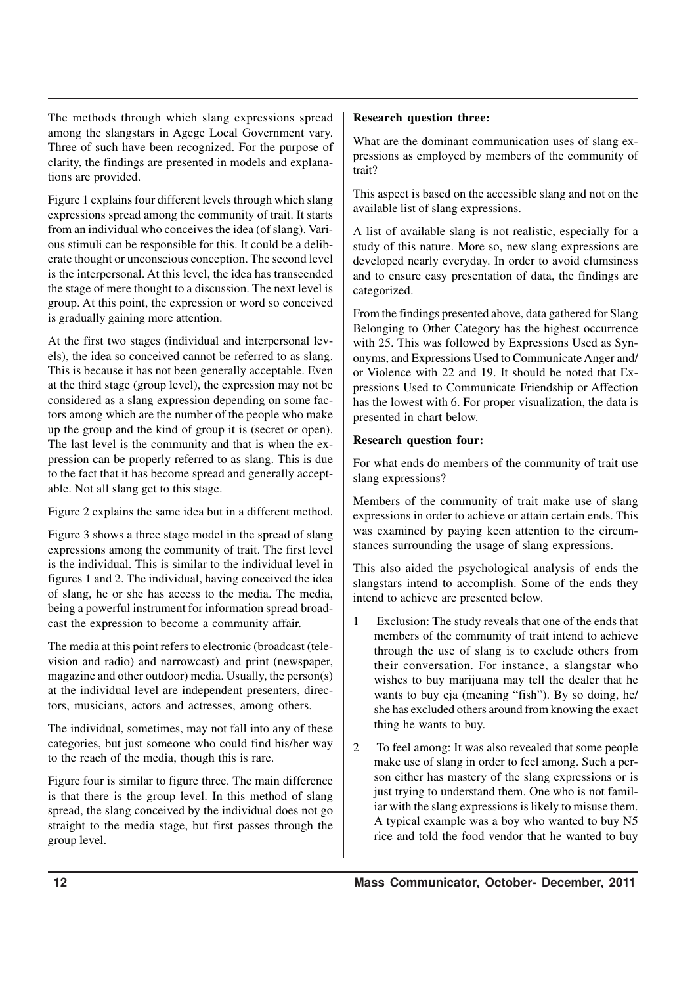The methods through which slang expressions spread among the slangstars in Agege Local Government vary. Three of such have been recognized. For the purpose of clarity, the findings are presented in models and explanations are provided.

Figure 1 explains four different levels through which slang expressions spread among the community of trait. It starts from an individual who conceives the idea (of slang). Various stimuli can be responsible for this. It could be a deliberate thought or unconscious conception. The second level is the interpersonal. At this level, the idea has transcended the stage of mere thought to a discussion. The next level is group. At this point, the expression or word so conceived is gradually gaining more attention.

At the first two stages (individual and interpersonal levels), the idea so conceived cannot be referred to as slang. This is because it has not been generally acceptable. Even at the third stage (group level), the expression may not be considered as a slang expression depending on some factors among which are the number of the people who make up the group and the kind of group it is (secret or open). The last level is the community and that is when the expression can be properly referred to as slang. This is due to the fact that it has become spread and generally acceptable. Not all slang get to this stage.

Figure 2 explains the same idea but in a different method.

Figure 3 shows a three stage model in the spread of slang expressions among the community of trait. The first level is the individual. This is similar to the individual level in figures 1 and 2. The individual, having conceived the idea of slang, he or she has access to the media. The media, being a powerful instrument for information spread broadcast the expression to become a community affair.

The media at this point refers to electronic (broadcast (television and radio) and narrowcast) and print (newspaper, magazine and other outdoor) media. Usually, the person(s) at the individual level are independent presenters, directors, musicians, actors and actresses, among others.

The individual, sometimes, may not fall into any of these categories, but just someone who could find his/her way to the reach of the media, though this is rare.

Figure four is similar to figure three. The main difference is that there is the group level. In this method of slang spread, the slang conceived by the individual does not go straight to the media stage, but first passes through the group level.

### **Research question three:**

What are the dominant communication uses of slang expressions as employed by members of the community of trait?

This aspect is based on the accessible slang and not on the available list of slang expressions.

A list of available slang is not realistic, especially for a study of this nature. More so, new slang expressions are developed nearly everyday. In order to avoid clumsiness and to ensure easy presentation of data, the findings are categorized.

From the findings presented above, data gathered for Slang Belonging to Other Category has the highest occurrence with 25. This was followed by Expressions Used as Synonyms, and Expressions Used to Communicate Anger and/ or Violence with 22 and 19. It should be noted that Expressions Used to Communicate Friendship or Affection has the lowest with 6. For proper visualization, the data is presented in chart below.

## **Research question four:**

For what ends do members of the community of trait use slang expressions?

Members of the community of trait make use of slang expressions in order to achieve or attain certain ends. This was examined by paying keen attention to the circumstances surrounding the usage of slang expressions.

This also aided the psychological analysis of ends the slangstars intend to accomplish. Some of the ends they intend to achieve are presented below.

- 1 Exclusion: The study reveals that one of the ends that members of the community of trait intend to achieve through the use of slang is to exclude others from their conversation. For instance, a slangstar who wishes to buy marijuana may tell the dealer that he wants to buy eja (meaning "fish"). By so doing, he/ she has excluded others around from knowing the exact thing he wants to buy.
- 2 To feel among: It was also revealed that some people make use of slang in order to feel among. Such a person either has mastery of the slang expressions or is just trying to understand them. One who is not familiar with the slang expressions is likely to misuse them. A typical example was a boy who wanted to buy N5 rice and told the food vendor that he wanted to buy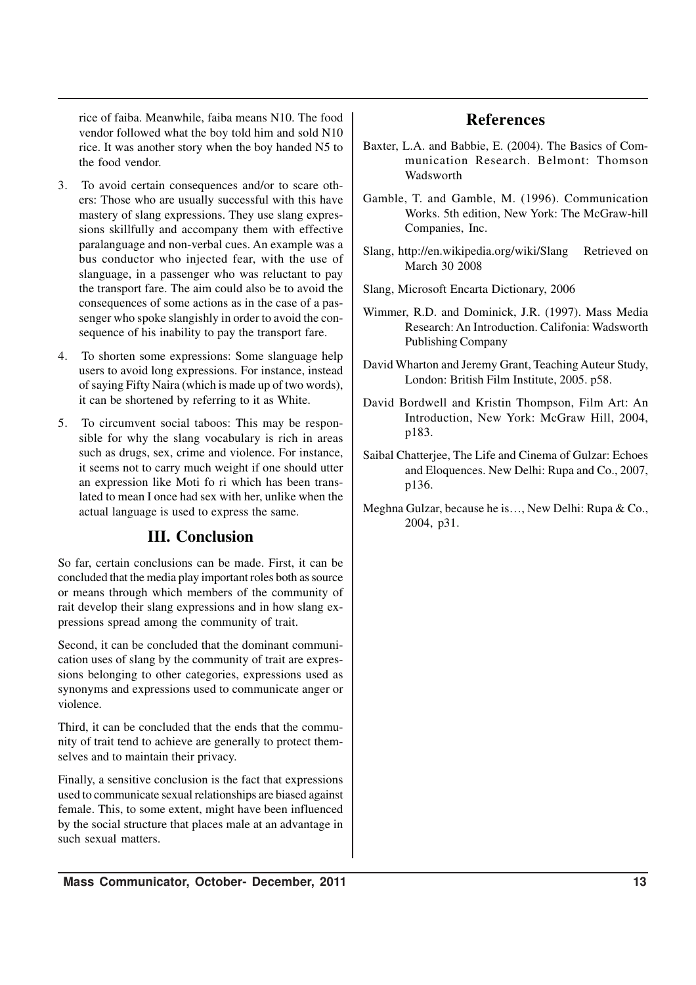rice of faiba. Meanwhile, faiba means N10. The food vendor followed what the boy told him and sold N10 rice. It was another story when the boy handed N5 to the food vendor.

- 3. To avoid certain consequences and/or to scare others: Those who are usually successful with this have mastery of slang expressions. They use slang expressions skillfully and accompany them with effective paralanguage and non-verbal cues. An example was a bus conductor who injected fear, with the use of slanguage, in a passenger who was reluctant to pay the transport fare. The aim could also be to avoid the consequences of some actions as in the case of a passenger who spoke slangishly in order to avoid the consequence of his inability to pay the transport fare.
- 4. To shorten some expressions: Some slanguage help users to avoid long expressions. For instance, instead of saying Fifty Naira (which is made up of two words), it can be shortened by referring to it as White.
- 5. To circumvent social taboos: This may be responsible for why the slang vocabulary is rich in areas such as drugs, sex, crime and violence. For instance, it seems not to carry much weight if one should utter an expression like Moti fo ri which has been translated to mean I once had sex with her, unlike when the actual language is used to express the same.

## **III. Conclusion**

So far, certain conclusions can be made. First, it can be concluded that the media play important roles both as source or means through which members of the community of rait develop their slang expressions and in how slang expressions spread among the community of trait.

Second, it can be concluded that the dominant communication uses of slang by the community of trait are expressions belonging to other categories, expressions used as synonyms and expressions used to communicate anger or violence.

Third, it can be concluded that the ends that the community of trait tend to achieve are generally to protect themselves and to maintain their privacy.

Finally, a sensitive conclusion is the fact that expressions used to communicate sexual relationships are biased against female. This, to some extent, might have been influenced by the social structure that places male at an advantage in such sexual matters.

## **References**

- Baxter, L.A. and Babbie, E. (2004). The Basics of Communication Research. Belmont: Thomson Wadsworth
- Gamble, T. and Gamble, M. (1996). Communication Works. 5th edition, New York: The McGraw-hill Companies, Inc.
- Slang, http://en.wikipedia.org/wiki/Slang Retrieved on March 30 2008
- Slang, Microsoft Encarta Dictionary, 2006
- Wimmer, R.D. and Dominick, J.R. (1997). Mass Media Research: An Introduction. Califonia: Wadsworth Publishing Company
- David Wharton and Jeremy Grant, Teaching Auteur Study, London: British Film Institute, 2005. p58.
- David Bordwell and Kristin Thompson, Film Art: An Introduction, New York: McGraw Hill, 2004, p183.
- Saibal Chatterjee, The Life and Cinema of Gulzar: Echoes and Eloquences. New Delhi: Rupa and Co., 2007, p136.
- Meghna Gulzar, because he is…, New Delhi: Rupa & Co., 2004, p31.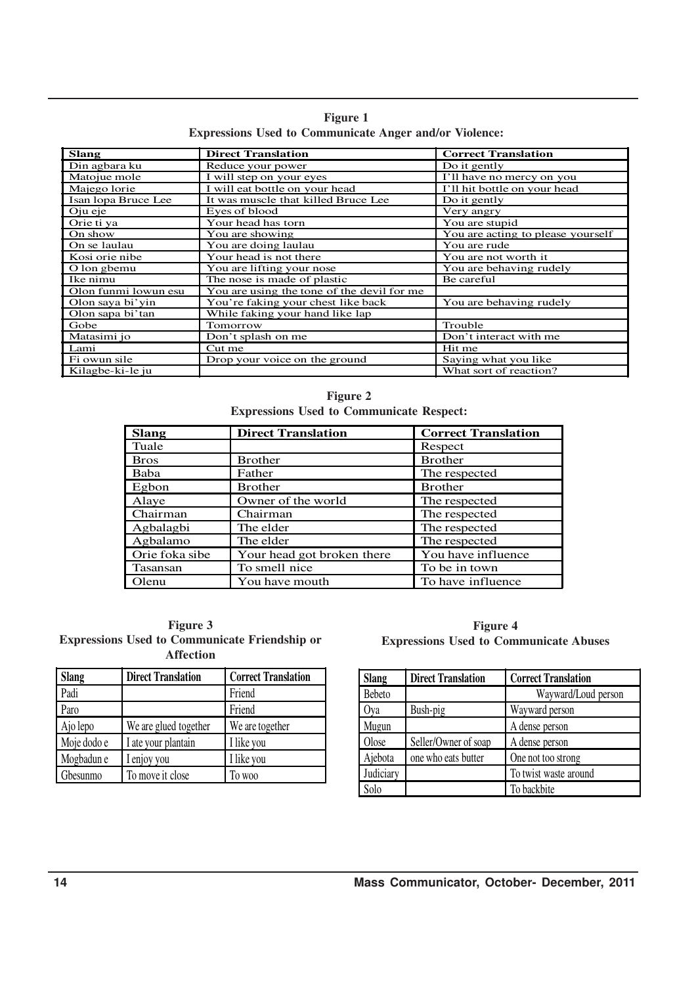|  | <b>Figure 1</b>                                               |  |  |
|--|---------------------------------------------------------------|--|--|
|  | <b>Expressions Used to Communicate Anger and/or Violence:</b> |  |  |

| <b>Slang</b>         | <b>Direct Translation</b>                  | <b>Correct Translation</b>        |
|----------------------|--------------------------------------------|-----------------------------------|
| Din agbara ku        | Reduce your power                          | Do it gently                      |
| Matojue mole         | I will step on your eyes                   | I'll have no mercy on you         |
| Majego lorie         | I will eat bottle on your head             | I'll hit bottle on your head      |
| Isan lopa Bruce Lee  | It was muscle that killed Bruce Lee        | Do it gently                      |
| Oju eje              | Eyes of blood                              | Very angry                        |
| Orie ti ya           | Your head has torn                         | You are stupid                    |
| On show              | You are showing                            | You are acting to please yourself |
| On se laulau         | You are doing laulau                       | You are rude                      |
| Kosi orie nibe       | Your head is not there                     | You are not worth it              |
| O lon gbemu          | You are lifting your nose                  | You are behaving rudely           |
| Ike nimu             | The nose is made of plastic                | Be careful                        |
| Olon funmi lowun esu | You are using the tone of the devil for me |                                   |
| Olon saya bi'yin     | You're faking your chest like back         | You are behaving rudely           |
| Olon sapa bi'tan     | While faking your hand like lap            |                                   |
| Gobe                 | Tomorrow                                   | Trouble                           |
| Matasimi jo          | Don't splash on me                         | Don't interact with me            |
| Lami                 | Cut me                                     | Hit me                            |
| Fi owun sile         | Drop your voice on the ground              | Saying what you like              |
| Kilagbe-ki-le ju     |                                            | What sort of reaction?            |

**Figure 2 Expressions Used to Communicate Respect:**

| <b>Slang</b>   | <b>Direct Translation</b>  | <b>Correct Translation</b> |
|----------------|----------------------------|----------------------------|
| Tuale          |                            | Respect                    |
| <b>Bros</b>    | <b>Brother</b>             | <b>Brother</b>             |
| Baba           | Father                     | The respected              |
| Egbon          | <b>Brother</b>             | <b>Brother</b>             |
| Alaye          | Owner of the world         | The respected              |
| Chairman       | Chairman                   | The respected              |
| Agbalagbi      | The elder                  | The respected              |
| Agbalamo       | The elder                  | The respected              |
| Orie foka sibe | Your head got broken there | You have influence         |
| Tasansan       | To smell nice              | To be in town              |
| Olenu          | You have mouth             | To have influence          |

 $\frac{1}{2}$ 

|  | <b>Figure 3</b>                                      |  |  |
|--|------------------------------------------------------|--|--|
|  | <b>Expressions Used to Communicate Friendship or</b> |  |  |
|  | <b>Affection</b>                                     |  |  |

| <b>Slang</b> | <b>Direct Translation</b> | <b>Correct Translation</b> |
|--------------|---------------------------|----------------------------|
| Padi         |                           | Friend                     |
| Paro         |                           | Friend                     |
| Ajo lepo     | We are glued together     | We are together            |
| Moje dodo e  | I ate your plantain       | I like you                 |
| Mogbadun e   | I enjoy you               | I like you                 |
| Gbesunmo     | To move it close          | To woo                     |

|  | Figure 4                                      |  |
|--|-----------------------------------------------|--|
|  | <b>Expressions Used to Communicate Abuses</b> |  |

| <b>Slang</b> | <b>Direct Translation</b> | <b>Correct Translation</b> |
|--------------|---------------------------|----------------------------|
| Bebeto       |                           | Wayward/Loud person        |
| Oya          | Bush-pig                  | Wayward person             |
| Mugun        |                           | A dense person             |
| Olose        | Seller/Owner of soap      | A dense person             |
| Ajebota      | one who eats butter       | One not too strong         |
| Judiciary    |                           | To twist waste around      |
| Solo         |                           | To backbite                |

 $\bar{\beta}$ 

l.

 $\hat{\mathcal{L}}$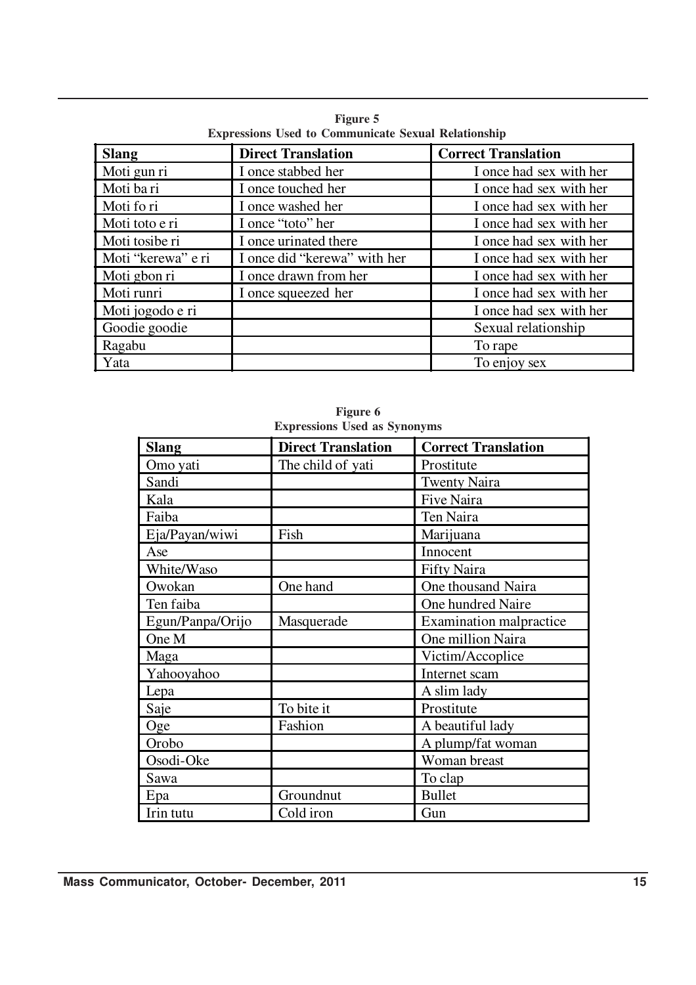| <b>Slang</b>       | <b>Direct Translation</b>    | <b>Correct Translation</b> |
|--------------------|------------------------------|----------------------------|
| Moti gun ri        | I once stabbed her           | I once had sex with her    |
| Moti ba ri         | I once touched her           | I once had sex with her    |
| Moti fo ri         | I once washed her            | I once had sex with her    |
| Moti toto e ri     | I once "toto" her            | I once had sex with her    |
| Moti tosibe ri     | I once urinated there        | I once had sex with her    |
| Moti "kerewa" e ri | I once did "kerewa" with her | I once had sex with her    |
| Moti gbon ri       | I once drawn from her        | I once had sex with her    |
| Moti runri         | I once squeezed her          | I once had sex with her    |
| Moti jogodo e ri   |                              | I once had sex with her    |
| Goodie goodie      |                              | Sexual relationship        |
| Ragabu             |                              | To rape                    |
| Yata               |                              | To enjoy sex               |

**Figure 5 Expressions Used to Communicate Sexual Relationship**

| <b>Slang</b>     | <b>Direct Translation</b> | <b>Correct Translation</b>     |
|------------------|---------------------------|--------------------------------|
| Omo yati         | The child of yati         | Prostitute                     |
| Sandi            |                           | <b>Twenty Naira</b>            |
| Kala             |                           | Five Naira                     |
| Faiba            |                           | Ten Naira                      |
| Eja/Payan/wiwi   | Fish                      | Marijuana                      |
| Ase              |                           | Innocent                       |
| White/Waso       |                           | <b>Fifty Naira</b>             |
| Owokan           | One hand                  | One thousand Naira             |
| Ten faiba        |                           | One hundred Naire              |
| Egun/Panpa/Orijo | Masquerade                | <b>Examination malpractice</b> |
| One M            |                           | One million Naira              |
| Maga             |                           | Victim/Accoplice               |
| Yahooyahoo       |                           | Internet scam                  |
| Lepa             |                           | A slim lady                    |
| Saje             | To bite it                | Prostitute                     |
| Oge              | Fashion                   | A beautiful lady               |
| Orobo            |                           | A plump/fat woman              |
| Osodi-Oke        |                           | Woman breast                   |
| Sawa             |                           | To clap                        |
| Epa              | Groundnut                 | <b>Bullet</b>                  |
| Irin tutu        | Cold iron                 | Gun                            |

**Figure 6 Expressions Used as Synonyms**

 $\hat{\boldsymbol{\beta}}$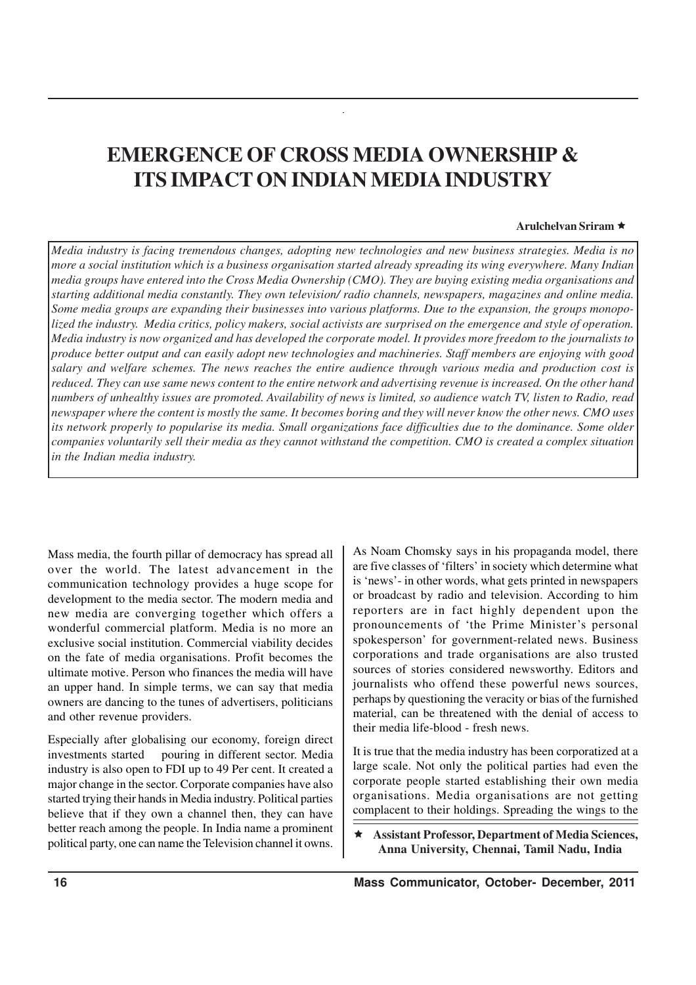# **EMERGENCE OF CROSS MEDIA OWNERSHIP & ITS IMPACT ON INDIAN MEDIA INDUSTRY**

#### **Arulchelvan Sriram** ê

*Media industry is facing tremendous changes, adopting new technologies and new business strategies. Media is no more a social institution which is a business organisation started already spreading its wing everywhere. Many Indian media groups have entered into the Cross Media Ownership (CMO). They are buying existing media organisations and starting additional media constantly. They own television/ radio channels, newspapers, magazines and online media. Some media groups are expanding their businesses into various platforms. Due to the expansion, the groups monopolized the industry. Media critics, policy makers, social activists are surprised on the emergence and style of operation. Media industry is now organized and has developed the corporate model. It provides more freedom to the journalists to produce better output and can easily adopt new technologies and machineries. Staff members are enjoying with good salary and welfare schemes. The news reaches the entire audience through various media and production cost is reduced. They can use same news content to the entire network and advertising revenue is increased. On the other hand numbers of unhealthy issues are promoted. Availability of news is limited, so audience watch TV, listen to Radio, read newspaper where the content is mostly the same. It becomes boring and they will never know the other news. CMO uses its network properly to popularise its media. Small organizations face difficulties due to the dominance. Some older companies voluntarily sell their media as they cannot withstand the competition. CMO is created a complex situation in the Indian media industry.*

Mass media, the fourth pillar of democracy has spread all over the world. The latest advancement in the communication technology provides a huge scope for development to the media sector. The modern media and new media are converging together which offers a wonderful commercial platform. Media is no more an exclusive social institution. Commercial viability decides on the fate of media organisations. Profit becomes the ultimate motive. Person who finances the media will have an upper hand. In simple terms, we can say that media owners are dancing to the tunes of advertisers, politicians and other revenue providers.

Especially after globalising our economy, foreign direct investments started pouring in different sector. Media industry is also open to FDI up to 49 Per cent. It created a major change in the sector. Corporate companies have also started trying their hands in Media industry. Political parties believe that if they own a channel then, they can have better reach among the people. In India name a prominent political party, one can name the Television channel it owns.

As Noam Chomsky says in his propaganda model, there are five classes of 'filters' in society which determine what is 'news'- in other words, what gets printed in newspapers or broadcast by radio and television. According to him reporters are in fact highly dependent upon the pronouncements of 'the Prime Minister's personal spokesperson' for government-related news. Business corporations and trade organisations are also trusted sources of stories considered newsworthy. Editors and journalists who offend these powerful news sources, perhaps by questioning the veracity or bias of the furnished material, can be threatened with the denial of access to their media life-blood - fresh news.

It is true that the media industry has been corporatized at a large scale. Not only the political parties had even the corporate people started establishing their own media organisations. Media organisations are not getting complacent to their holdings. Spreading the wings to the

ê **Assistant Professor, Department of Media Sciences, Anna University, Chennai, Tamil Nadu, India**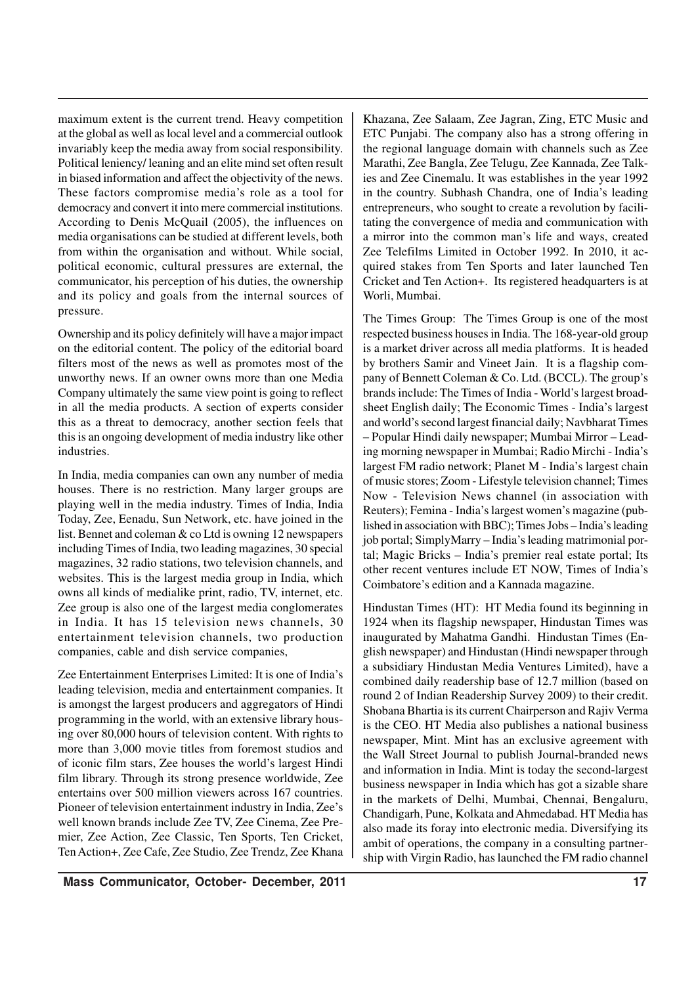maximum extent is the current trend. Heavy competition at the global as well as local level and a commercial outlook invariably keep the media away from social responsibility. Political leniency/ leaning and an elite mind set often result in biased information and affect the objectivity of the news. These factors compromise media's role as a tool for democracy and convert it into mere commercial institutions. According to Denis McQuail (2005), the influences on media organisations can be studied at different levels, both from within the organisation and without. While social, political economic, cultural pressures are external, the communicator, his perception of his duties, the ownership and its policy and goals from the internal sources of pressure.

Ownership and its policy definitely will have a major impact on the editorial content. The policy of the editorial board filters most of the news as well as promotes most of the unworthy news. If an owner owns more than one Media Company ultimately the same view point is going to reflect in all the media products. A section of experts consider this as a threat to democracy, another section feels that this is an ongoing development of media industry like other industries.

In India, media companies can own any number of media houses. There is no restriction. Many larger groups are playing well in the media industry. Times of India, India Today, Zee, Eenadu, Sun Network, etc. have joined in the list. Bennet and coleman & co Ltd is owning 12 newspapers including Times of India, two leading magazines, 30 special magazines, 32 radio stations, two television channels, and websites. This is the largest media group in India, which owns all kinds of medialike print, radio, TV, internet, etc. Zee group is also one of the largest media conglomerates in India. It has 15 television news channels, 30 entertainment television channels, two production companies, cable and dish service companies,

Zee Entertainment Enterprises Limited: It is one of India's leading television, media and entertainment companies. It is amongst the largest producers and aggregators of Hindi programming in the world, with an extensive library housing over 80,000 hours of television content. With rights to more than 3,000 movie titles from foremost studios and of iconic film stars, Zee houses the world's largest Hindi film library. Through its strong presence worldwide, Zee entertains over 500 million viewers across 167 countries. Pioneer of television entertainment industry in India, Zee's well known brands include Zee TV, Zee Cinema, Zee Premier, Zee Action, Zee Classic, Ten Sports, Ten Cricket, Ten Action+, Zee Cafe, Zee Studio, Zee Trendz, Zee Khana Khazana, Zee Salaam, Zee Jagran, Zing, ETC Music and ETC Punjabi. The company also has a strong offering in the regional language domain with channels such as Zee Marathi, Zee Bangla, Zee Telugu, Zee Kannada, Zee Talkies and Zee Cinemalu. It was establishes in the year 1992 in the country. Subhash Chandra, one of India's leading entrepreneurs, who sought to create a revolution by facilitating the convergence of media and communication with a mirror into the common man's life and ways, created Zee Telefilms Limited in October 1992. In 2010, it acquired stakes from Ten Sports and later launched Ten Cricket and Ten Action+. Its registered headquarters is at Worli, Mumbai.

The Times Group: The Times Group is one of the most respected business houses in India. The 168-year-old group is a market driver across all media platforms. It is headed by brothers Samir and Vineet Jain. It is a flagship company of Bennett Coleman & Co. Ltd. (BCCL). The group's brands include: The Times of India - World's largest broadsheet English daily; The Economic Times - India's largest and world's second largest financial daily; Navbharat Times – Popular Hindi daily newspaper; Mumbai Mirror – Leading morning newspaper in Mumbai; Radio Mirchi - India's largest FM radio network; Planet M - India's largest chain of music stores; Zoom - Lifestyle television channel; Times Now - Television News channel (in association with Reuters); Femina - India's largest women's magazine (published in association with BBC); Times Jobs – India's leading job portal; SimplyMarry – India's leading matrimonial portal; Magic Bricks – India's premier real estate portal; Its other recent ventures include ET NOW, Times of India's Coimbatore's edition and a Kannada magazine.

Hindustan Times (HT): HT Media found its beginning in 1924 when its flagship newspaper, Hindustan Times was inaugurated by Mahatma Gandhi. Hindustan Times (English newspaper) and Hindustan (Hindi newspaper through a subsidiary Hindustan Media Ventures Limited), have a combined daily readership base of 12.7 million (based on round 2 of Indian Readership Survey 2009) to their credit. Shobana Bhartia is its current Chairperson and Rajiv Verma is the CEO. HT Media also publishes a national business newspaper, Mint. Mint has an exclusive agreement with the Wall Street Journal to publish Journal-branded news and information in India. Mint is today the second-largest business newspaper in India which has got a sizable share in the markets of Delhi, Mumbai, Chennai, Bengaluru, Chandigarh, Pune, Kolkata and Ahmedabad. HT Media has also made its foray into electronic media. Diversifying its ambit of operations, the company in a consulting partnership with Virgin Radio, has launched the FM radio channel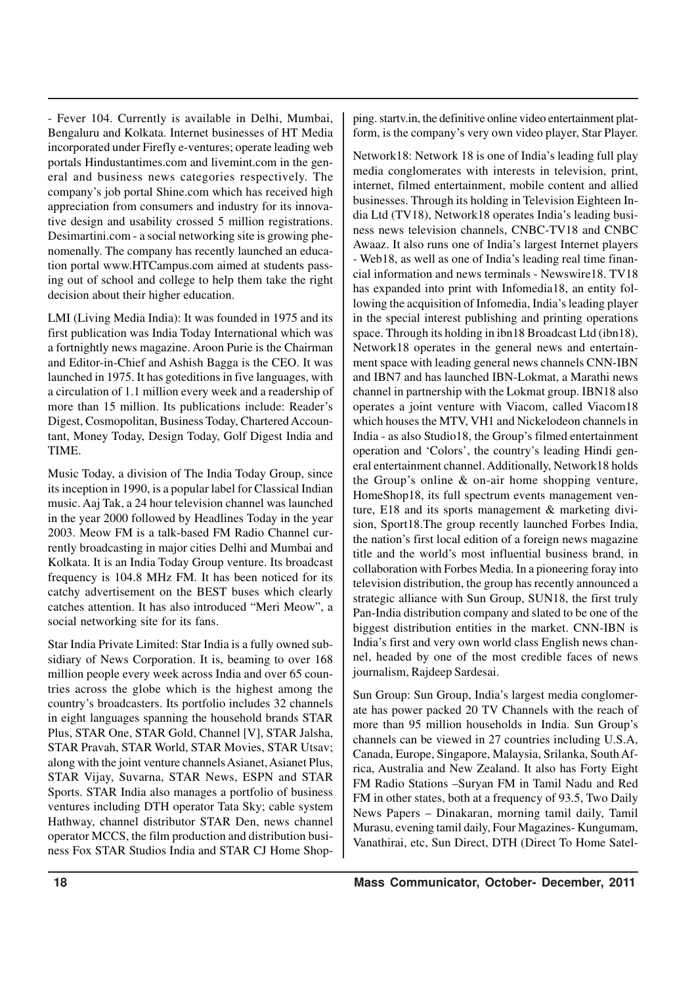- Fever 104. Currently is available in Delhi, Mumbai, Bengaluru and Kolkata. Internet businesses of HT Media incorporated under Firefly e-ventures; operate leading web portals Hindustantimes.com and livemint.com in the general and business news categories respectively. The company's job portal Shine.com which has received high appreciation from consumers and industry for its innovative design and usability crossed 5 million registrations. Desimartini.com - a social networking site is growing phenomenally. The company has recently launched an education portal www.HTCampus.com aimed at students passing out of school and college to help them take the right decision about their higher education.

LMI (Living Media India): It was founded in 1975 and its first publication was India Today International which was a fortnightly news magazine. Aroon Purie is the Chairman and Editor-in-Chief and Ashish Bagga is the CEO. It was launched in 1975. It has goteditions in five languages, with a circulation of 1.1 million every week and a readership of more than 15 million. Its publications include: Reader's Digest, Cosmopolitan, Business Today, Chartered Accountant, Money Today, Design Today, Golf Digest India and TIME.

Music Today, a division of The India Today Group, since its inception in 1990, is a popular label for Classical Indian music. Aaj Tak, a 24 hour television channel was launched in the year 2000 followed by Headlines Today in the year 2003. Meow FM is a talk-based FM Radio Channel currently broadcasting in major cities Delhi and Mumbai and Kolkata. It is an India Today Group venture. Its broadcast frequency is 104.8 MHz FM. It has been noticed for its catchy advertisement on the BEST buses which clearly catches attention. It has also introduced "Meri Meow", a social networking site for its fans.

Star India Private Limited: Star India is a fully owned subsidiary of News Corporation. It is, beaming to over 168 million people every week across India and over 65 countries across the globe which is the highest among the country's broadcasters. Its portfolio includes 32 channels in eight languages spanning the household brands STAR Plus, STAR One, STAR Gold, Channel [V], STAR Jalsha, STAR Pravah, STAR World, STAR Movies, STAR Utsav; along with the joint venture channels Asianet, Asianet Plus, STAR Vijay, Suvarna, STAR News, ESPN and STAR Sports. STAR India also manages a portfolio of business ventures including DTH operator Tata Sky; cable system Hathway, channel distributor STAR Den, news channel operator MCCS, the film production and distribution business Fox STAR Studios India and STAR CJ Home Shopping. startv.in, the definitive online video entertainment platform, is the company's very own video player, Star Player.

Network18: Network 18 is one of India's leading full play media conglomerates with interests in television, print, internet, filmed entertainment, mobile content and allied businesses. Through its holding in Television Eighteen India Ltd (TV18), Network18 operates India's leading business news television channels, CNBC-TV18 and CNBC Awaaz. It also runs one of India's largest Internet players - Web18, as well as one of India's leading real time financial information and news terminals - Newswire18. TV18 has expanded into print with Infomedia18, an entity following the acquisition of Infomedia, India's leading player in the special interest publishing and printing operations space. Through its holding in ibn18 Broadcast Ltd (ibn18), Network18 operates in the general news and entertainment space with leading general news channels CNN-IBN and IBN7 and has launched IBN-Lokmat, a Marathi news channel in partnership with the Lokmat group. IBN18 also operates a joint venture with Viacom, called Viacom18 which houses the MTV, VH1 and Nickelodeon channels in India - as also Studio18, the Group's filmed entertainment operation and 'Colors', the country's leading Hindi general entertainment channel. Additionally, Network18 holds the Group's online & on-air home shopping venture, HomeShop18, its full spectrum events management venture, E18 and its sports management & marketing division, Sport18.The group recently launched Forbes India, the nation's first local edition of a foreign news magazine title and the world's most influential business brand, in collaboration with Forbes Media. In a pioneering foray into television distribution, the group has recently announced a strategic alliance with Sun Group, SUN18, the first truly Pan-India distribution company and slated to be one of the biggest distribution entities in the market. CNN-IBN is India's first and very own world class English news channel, headed by one of the most credible faces of news journalism, Rajdeep Sardesai.

Sun Group: Sun Group, India's largest media conglomerate has power packed 20 TV Channels with the reach of more than 95 million households in India. Sun Group's channels can be viewed in 27 countries including U.S.A, Canada, Europe, Singapore, Malaysia, Srilanka, South Africa, Australia and New Zealand. It also has Forty Eight FM Radio Stations –Suryan FM in Tamil Nadu and Red FM in other states, both at a frequency of 93.5, Two Daily News Papers – Dinakaran, morning tamil daily, Tamil Murasu, evening tamil daily, Four Magazines- Kungumam, Vanathirai, etc, Sun Direct, DTH (Direct To Home Satel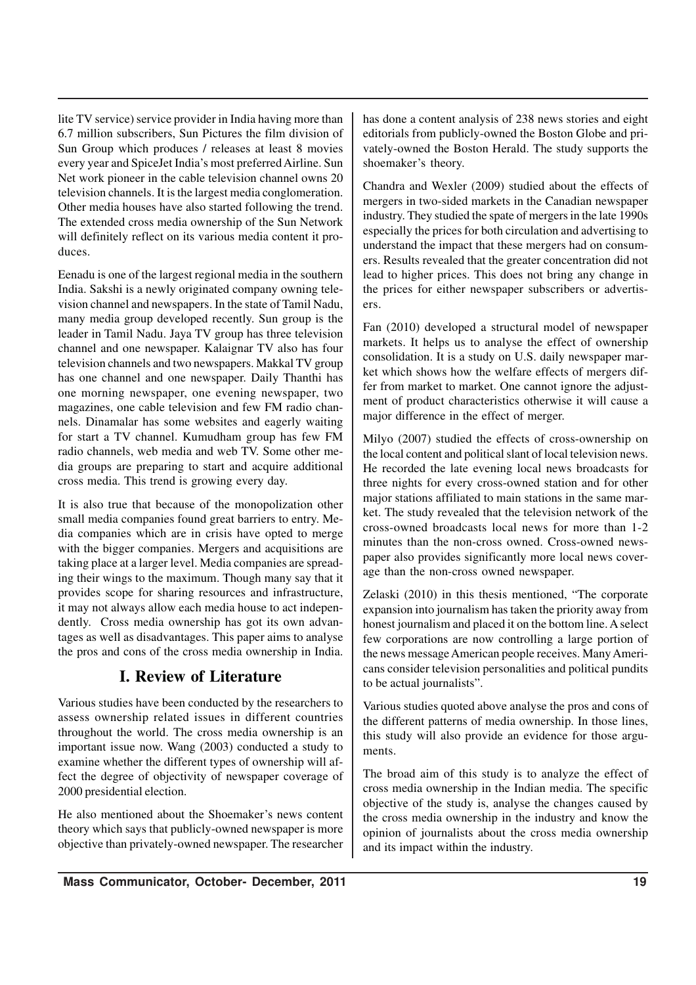lite TV service) service provider in India having more than 6.7 million subscribers, Sun Pictures the film division of Sun Group which produces / releases at least 8 movies every year and SpiceJet India's most preferred Airline. Sun Net work pioneer in the cable television channel owns 20 television channels. It is the largest media conglomeration. Other media houses have also started following the trend. The extended cross media ownership of the Sun Network will definitely reflect on its various media content it produces.

Eenadu is one of the largest regional media in the southern India. Sakshi is a newly originated company owning television channel and newspapers. In the state of Tamil Nadu, many media group developed recently. Sun group is the leader in Tamil Nadu. Jaya TV group has three television channel and one newspaper. Kalaignar TV also has four television channels and two newspapers. Makkal TV group has one channel and one newspaper. Daily Thanthi has one morning newspaper, one evening newspaper, two magazines, one cable television and few FM radio channels. Dinamalar has some websites and eagerly waiting for start a TV channel. Kumudham group has few FM radio channels, web media and web TV. Some other media groups are preparing to start and acquire additional cross media. This trend is growing every day.

It is also true that because of the monopolization other small media companies found great barriers to entry. Media companies which are in crisis have opted to merge with the bigger companies. Mergers and acquisitions are taking place at a larger level. Media companies are spreading their wings to the maximum. Though many say that it provides scope for sharing resources and infrastructure, it may not always allow each media house to act independently. Cross media ownership has got its own advantages as well as disadvantages. This paper aims to analyse the pros and cons of the cross media ownership in India.

## **I. Review of Literature**

Various studies have been conducted by the researchers to assess ownership related issues in different countries throughout the world. The cross media ownership is an important issue now. Wang (2003) conducted a study to examine whether the different types of ownership will affect the degree of objectivity of newspaper coverage of 2000 presidential election.

He also mentioned about the Shoemaker's news content theory which says that publicly-owned newspaper is more objective than privately-owned newspaper. The researcher has done a content analysis of 238 news stories and eight editorials from publicly-owned the Boston Globe and privately-owned the Boston Herald. The study supports the shoemaker's theory.

Chandra and Wexler (2009) studied about the effects of mergers in two-sided markets in the Canadian newspaper industry. They studied the spate of mergers in the late 1990s especially the prices for both circulation and advertising to understand the impact that these mergers had on consumers. Results revealed that the greater concentration did not lead to higher prices. This does not bring any change in the prices for either newspaper subscribers or advertisers.

Fan (2010) developed a structural model of newspaper markets. It helps us to analyse the effect of ownership consolidation. It is a study on U.S. daily newspaper market which shows how the welfare effects of mergers differ from market to market. One cannot ignore the adjustment of product characteristics otherwise it will cause a major difference in the effect of merger.

Milyo (2007) studied the effects of cross-ownership on the local content and political slant of local television news. He recorded the late evening local news broadcasts for three nights for every cross-owned station and for other major stations affiliated to main stations in the same market. The study revealed that the television network of the cross-owned broadcasts local news for more than 1-2 minutes than the non-cross owned. Cross-owned newspaper also provides significantly more local news coverage than the non-cross owned newspaper.

Zelaski (2010) in this thesis mentioned, "The corporate expansion into journalism has taken the priority away from honest journalism and placed it on the bottom line. A select few corporations are now controlling a large portion of the news message American people receives. Many Americans consider television personalities and political pundits to be actual journalists".

Various studies quoted above analyse the pros and cons of the different patterns of media ownership. In those lines, this study will also provide an evidence for those arguments.

The broad aim of this study is to analyze the effect of cross media ownership in the Indian media. The specific objective of the study is, analyse the changes caused by the cross media ownership in the industry and know the opinion of journalists about the cross media ownership and its impact within the industry.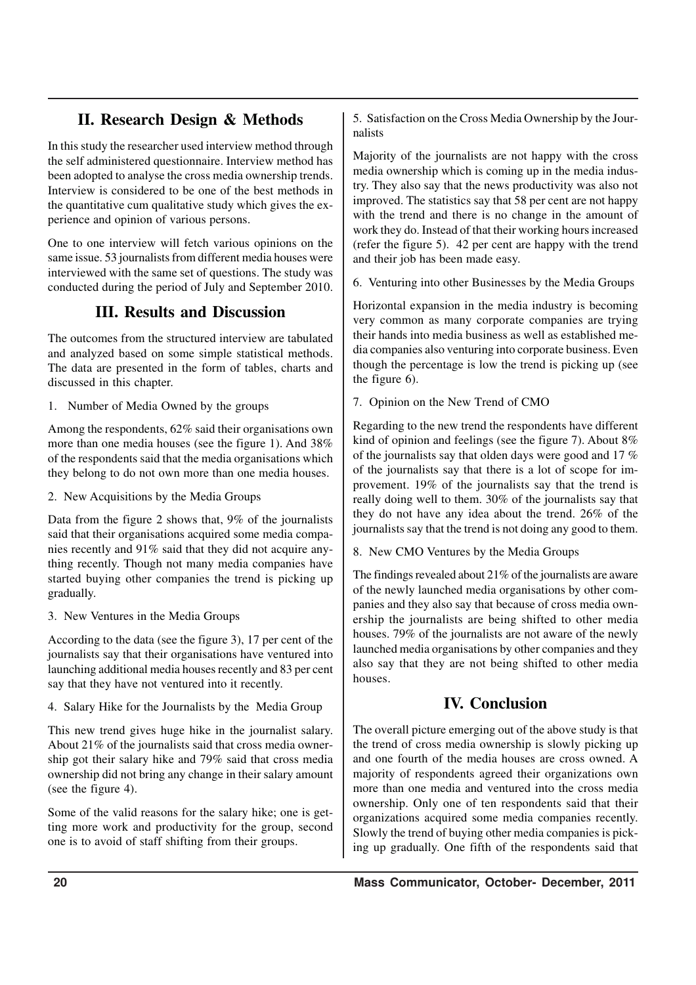# **II. Research Design & Methods**

In this study the researcher used interview method through the self administered questionnaire. Interview method has been adopted to analyse the cross media ownership trends. Interview is considered to be one of the best methods in the quantitative cum qualitative study which gives the experience and opinion of various persons.

One to one interview will fetch various opinions on the same issue. 53 journalists from different media houses were interviewed with the same set of questions. The study was conducted during the period of July and September 2010.

## **III. Results and Discussion**

The outcomes from the structured interview are tabulated and analyzed based on some simple statistical methods. The data are presented in the form of tables, charts and discussed in this chapter.

1. Number of Media Owned by the groups

Among the respondents, 62% said their organisations own more than one media houses (see the figure 1). And 38% of the respondents said that the media organisations which they belong to do not own more than one media houses.

2. New Acquisitions by the Media Groups

Data from the figure 2 shows that, 9% of the journalists said that their organisations acquired some media companies recently and 91% said that they did not acquire anything recently. Though not many media companies have started buying other companies the trend is picking up gradually.

3. New Ventures in the Media Groups

According to the data (see the figure 3), 17 per cent of the journalists say that their organisations have ventured into launching additional media houses recently and 83 per cent say that they have not ventured into it recently.

4. Salary Hike for the Journalists by the Media Group

This new trend gives huge hike in the journalist salary. About 21% of the journalists said that cross media ownership got their salary hike and 79% said that cross media ownership did not bring any change in their salary amount (see the figure 4).

Some of the valid reasons for the salary hike; one is getting more work and productivity for the group, second one is to avoid of staff shifting from their groups.

5. Satisfaction on the Cross Media Ownership by the Journalists

Majority of the journalists are not happy with the cross media ownership which is coming up in the media industry. They also say that the news productivity was also not improved. The statistics say that 58 per cent are not happy with the trend and there is no change in the amount of work they do. Instead of that their working hours increased (refer the figure 5). 42 per cent are happy with the trend and their job has been made easy.

6. Venturing into other Businesses by the Media Groups

Horizontal expansion in the media industry is becoming very common as many corporate companies are trying their hands into media business as well as established media companies also venturing into corporate business. Even though the percentage is low the trend is picking up (see the figure 6).

7. Opinion on the New Trend of CMO

Regarding to the new trend the respondents have different kind of opinion and feelings (see the figure 7). About 8% of the journalists say that olden days were good and 17 % of the journalists say that there is a lot of scope for improvement. 19% of the journalists say that the trend is really doing well to them. 30% of the journalists say that they do not have any idea about the trend. 26% of the journalists say that the trend is not doing any good to them.

8. New CMO Ventures by the Media Groups

The findings revealed about 21% of the journalists are aware of the newly launched media organisations by other companies and they also say that because of cross media ownership the journalists are being shifted to other media houses. 79% of the journalists are not aware of the newly launched media organisations by other companies and they also say that they are not being shifted to other media houses.

# **IV. Conclusion**

The overall picture emerging out of the above study is that the trend of cross media ownership is slowly picking up and one fourth of the media houses are cross owned. A majority of respondents agreed their organizations own more than one media and ventured into the cross media ownership. Only one of ten respondents said that their organizations acquired some media companies recently. Slowly the trend of buying other media companies is picking up gradually. One fifth of the respondents said that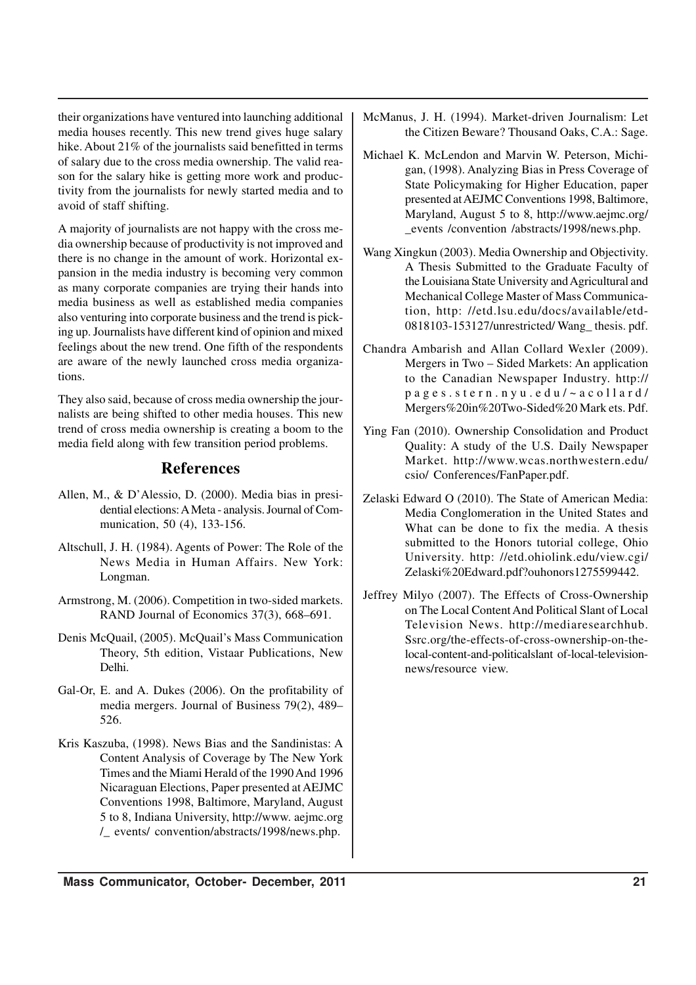their organizations have ventured into launching additional media houses recently. This new trend gives huge salary hike. About 21% of the journalists said benefitted in terms of salary due to the cross media ownership. The valid reason for the salary hike is getting more work and productivity from the journalists for newly started media and to avoid of staff shifting.

A majority of journalists are not happy with the cross media ownership because of productivity is not improved and there is no change in the amount of work. Horizontal expansion in the media industry is becoming very common as many corporate companies are trying their hands into media business as well as established media companies also venturing into corporate business and the trend is picking up. Journalists have different kind of opinion and mixed feelings about the new trend. One fifth of the respondents are aware of the newly launched cross media organizations.

They also said, because of cross media ownership the journalists are being shifted to other media houses. This new trend of cross media ownership is creating a boom to the media field along with few transition period problems.

## **References**

- Allen, M., & D'Alessio, D. (2000). Media bias in presidential elections: A Meta - analysis. Journal of Communication, 50 (4), 133-156.
- Altschull, J. H. (1984). Agents of Power: The Role of the News Media in Human Affairs. New York: Longman.
- Armstrong, M. (2006). Competition in two-sided markets. RAND Journal of Economics 37(3), 668–691.
- Denis McQuail, (2005). McQuail's Mass Communication Theory, 5th edition, Vistaar Publications, New Delhi.
- Gal-Or, E. and A. Dukes (2006). On the profitability of media mergers. Journal of Business 79(2), 489– 526.
- Kris Kaszuba, (1998). News Bias and the Sandinistas: A Content Analysis of Coverage by The New York Times and the Miami Herald of the 1990 And 1996 Nicaraguan Elections, Paper presented at AEJMC Conventions 1998, Baltimore, Maryland, August 5 to 8, Indiana University, http://www. aejmc.org /\_ events/ convention/abstracts/1998/news.php.
- McManus, J. H. (1994). Market-driven Journalism: Let the Citizen Beware? Thousand Oaks, C.A.: Sage.
- Michael K. McLendon and Marvin W. Peterson, Michigan, (1998). Analyzing Bias in Press Coverage of State Policymaking for Higher Education, paper presented at AEJMC Conventions 1998, Baltimore, Maryland, August 5 to 8, http://www.aejmc.org/ \_events /convention /abstracts/1998/news.php.
- Wang Xingkun (2003). Media Ownership and Objectivity. A Thesis Submitted to the Graduate Faculty of the Louisiana State University and Agricultural and Mechanical College Master of Mass Communication, http: //etd.lsu.edu/docs/available/etd-0818103-153127/unrestricted/ Wang\_ thesis. pdf.
- Chandra Ambarish and Allan Collard Wexler (2009). Mergers in Two – Sided Markets: An application to the Canadian Newspaper Industry. http:// pages.stern.nyu.edu/~acollard/ Mergers%20in%20Two-Sided%20 Mark ets. Pdf.
- Ying Fan (2010). Ownership Consolidation and Product Quality: A study of the U.S. Daily Newspaper Market. http://www.wcas.northwestern.edu/ csio/ Conferences/FanPaper.pdf.
- Zelaski Edward O (2010). The State of American Media: Media Conglomeration in the United States and What can be done to fix the media. A thesis submitted to the Honors tutorial college, Ohio University. http: //etd.ohiolink.edu/view.cgi/ Zelaski%20Edward.pdf?ouhonors1275599442.
- Jeffrey Milyo (2007). The Effects of Cross-Ownership on The Local Content And Political Slant of Local Television News. http://mediaresearchhub. Ssrc.org/the-effects-of-cross-ownership-on-thelocal-content-and-politicalslant of-local-televisionnews/resource view.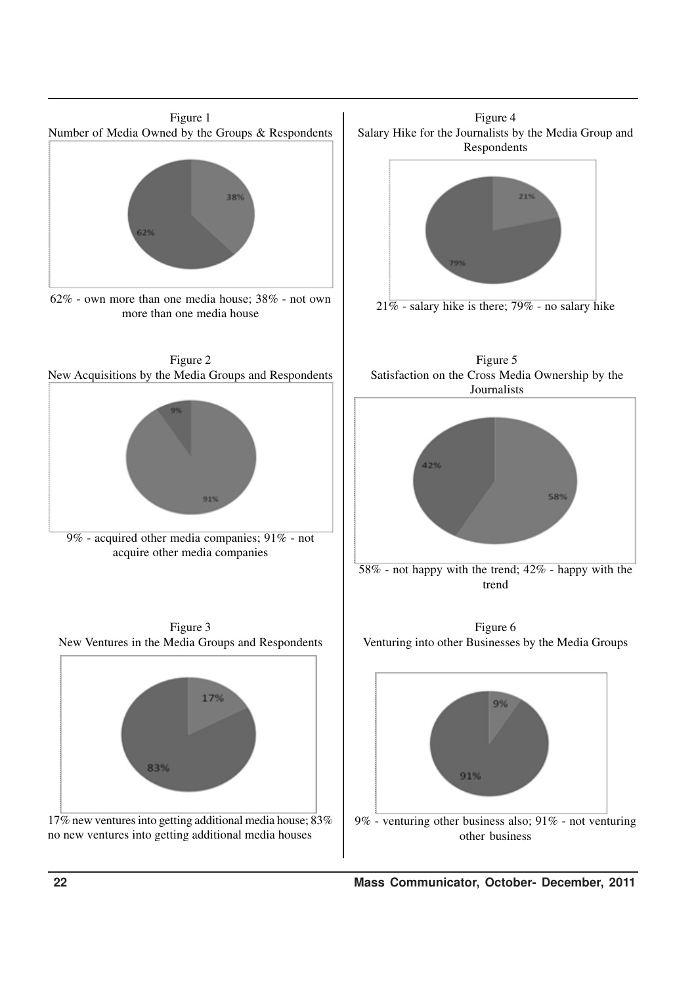

 **22 Mass Communicator, October- December, 2011**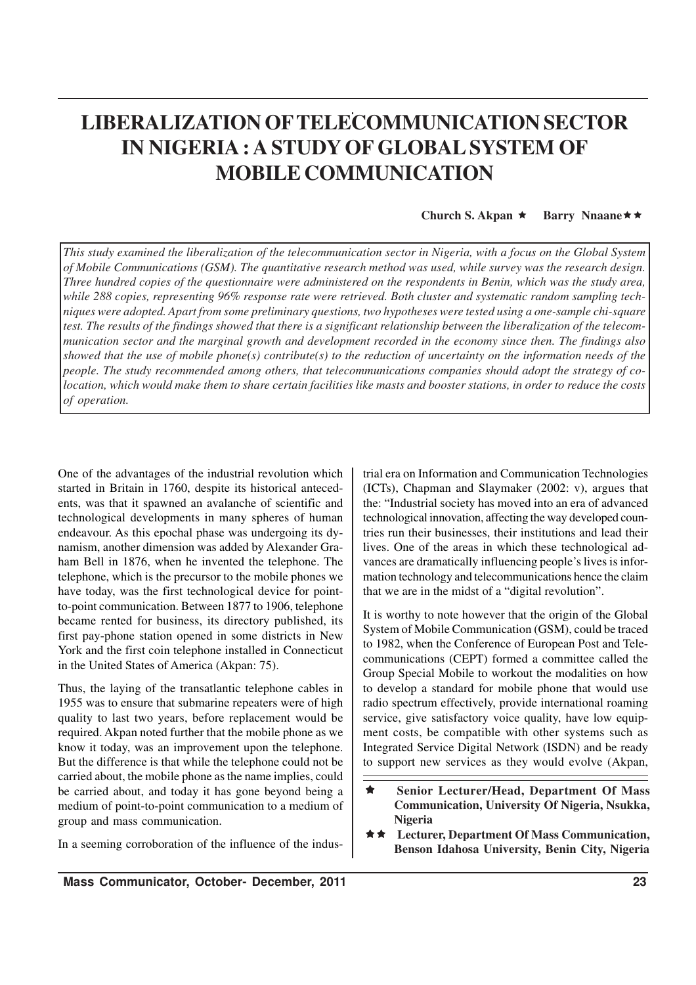# **LIBERALIZATION OFTELECOMMUNICATION SECTOR IN NIGERIA : A STUDY OF GLOBAL SYSTEM OF MOBILE COMMUNICATION**

**Church S. Akpan** ★ **Barry Nnaane** ★ ★

*This study examined the liberalization of the telecommunication sector in Nigeria, with a focus on the Global System of Mobile Communications (GSM). The quantitative research method was used, while survey was the research design. Three hundred copies of the questionnaire were administered on the respondents in Benin, which was the study area, while 288 copies, representing 96% response rate were retrieved. Both cluster and systematic random sampling techniques were adopted. Apart from some preliminary questions, two hypotheses were tested using a one-sample chi-square test. The results of the findings showed that there is a significant relationship between the liberalization of the telecommunication sector and the marginal growth and development recorded in the economy since then. The findings also showed that the use of mobile phone(s) contribute(s) to the reduction of uncertainty on the information needs of the people. The study recommended among others, that telecommunications companies should adopt the strategy of colocation, which would make them to share certain facilities like masts and booster stations, in order to reduce the costs of operation.*

One of the advantages of the industrial revolution which started in Britain in 1760, despite its historical antecedents, was that it spawned an avalanche of scientific and technological developments in many spheres of human endeavour. As this epochal phase was undergoing its dynamism, another dimension was added by Alexander Graham Bell in 1876, when he invented the telephone. The telephone, which is the precursor to the mobile phones we have today, was the first technological device for pointto-point communication. Between 1877 to 1906, telephone became rented for business, its directory published, its first pay-phone station opened in some districts in New York and the first coin telephone installed in Connecticut in the United States of America (Akpan: 75).

Thus, the laying of the transatlantic telephone cables in 1955 was to ensure that submarine repeaters were of high quality to last two years, before replacement would be required. Akpan noted further that the mobile phone as we know it today, was an improvement upon the telephone. But the difference is that while the telephone could not be carried about, the mobile phone as the name implies, could be carried about, and today it has gone beyond being a medium of point-to-point communication to a medium of group and mass communication.

In a seeming corroboration of the influence of the indus-

trial era on Information and Communication Technologies (ICTs), Chapman and Slaymaker (2002: v), argues that the: "Industrial society has moved into an era of advanced technological innovation, affecting the way developed countries run their businesses, their institutions and lead their lives. One of the areas in which these technological advances are dramatically influencing people's lives is information technology and telecommunications hence the claim that we are in the midst of a "digital revolution".

It is worthy to note however that the origin of the Global System of Mobile Communication (GSM), could be traced to 1982, when the Conference of European Post and Telecommunications (CEPT) formed a committee called the Group Special Mobile to workout the modalities on how to develop a standard for mobile phone that would use radio spectrum effectively, provide international roaming service, give satisfactory voice quality, have low equipment costs, be compatible with other systems such as Integrated Service Digital Network (ISDN) and be ready to support new services as they would evolve (Akpan,

- ê **Senior Lecturer/Head, Department Of Mass Communication, University Of Nigeria, Nsukka, Nigeria**
- **★★** Lecturer, Department Of Mass Communication, **Benson Idahosa University, Benin City, Nigeria**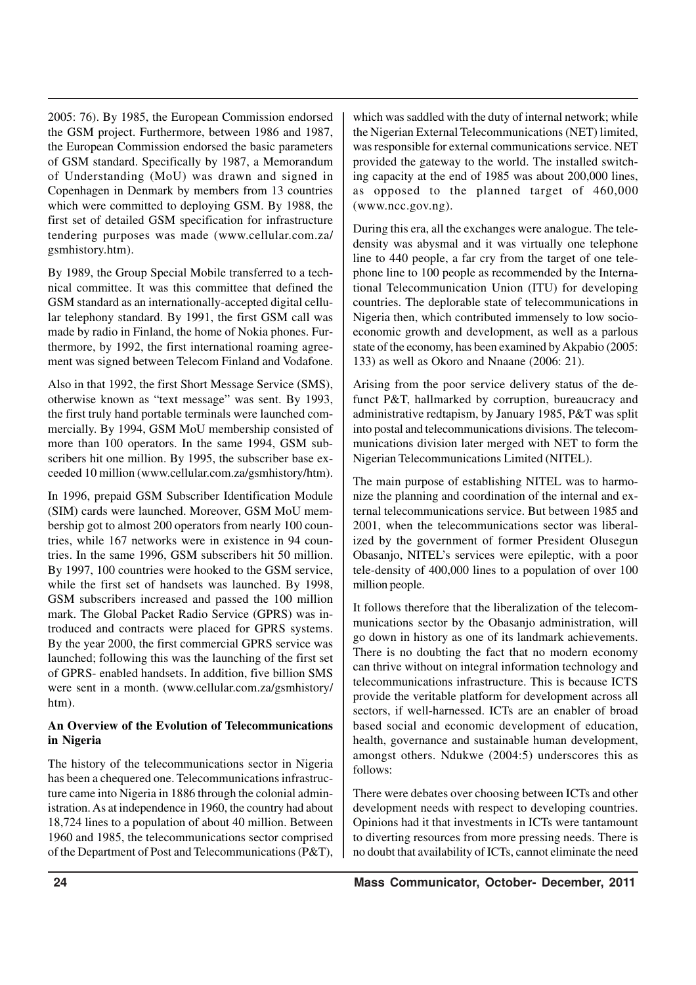2005: 76). By 1985, the European Commission endorsed the GSM project. Furthermore, between 1986 and 1987, the European Commission endorsed the basic parameters of GSM standard. Specifically by 1987, a Memorandum of Understanding (MoU) was drawn and signed in Copenhagen in Denmark by members from 13 countries which were committed to deploying GSM. By 1988, the first set of detailed GSM specification for infrastructure tendering purposes was made (www.cellular.com.za/ gsmhistory.htm).

By 1989, the Group Special Mobile transferred to a technical committee. It was this committee that defined the GSM standard as an internationally-accepted digital cellular telephony standard. By 1991, the first GSM call was made by radio in Finland, the home of Nokia phones. Furthermore, by 1992, the first international roaming agreement was signed between Telecom Finland and Vodafone.

Also in that 1992, the first Short Message Service (SMS), otherwise known as "text message" was sent. By 1993, the first truly hand portable terminals were launched commercially. By 1994, GSM MoU membership consisted of more than 100 operators. In the same 1994, GSM subscribers hit one million. By 1995, the subscriber base exceeded 10 million (www.cellular.com.za/gsmhistory/htm).

In 1996, prepaid GSM Subscriber Identification Module (SIM) cards were launched. Moreover, GSM MoU membership got to almost 200 operators from nearly 100 countries, while 167 networks were in existence in 94 countries. In the same 1996, GSM subscribers hit 50 million. By 1997, 100 countries were hooked to the GSM service, while the first set of handsets was launched. By 1998, GSM subscribers increased and passed the 100 million mark. The Global Packet Radio Service (GPRS) was introduced and contracts were placed for GPRS systems. By the year 2000, the first commercial GPRS service was launched; following this was the launching of the first set of GPRS- enabled handsets. In addition, five billion SMS were sent in a month. (www.cellular.com.za/gsmhistory/ htm).

### **An Overview of the Evolution of Telecommunications in Nigeria**

The history of the telecommunications sector in Nigeria has been a chequered one. Telecommunications infrastructure came into Nigeria in 1886 through the colonial administration. As at independence in 1960, the country had about 18,724 lines to a population of about 40 million. Between 1960 and 1985, the telecommunications sector comprised of the Department of Post and Telecommunications (P&T),

which was saddled with the duty of internal network; while the Nigerian External Telecommunications (NET) limited, was responsible for external communications service. NET provided the gateway to the world. The installed switching capacity at the end of 1985 was about 200,000 lines, as opposed to the planned target of 460,000 (www.ncc.gov.ng).

During this era, all the exchanges were analogue. The teledensity was abysmal and it was virtually one telephone line to 440 people, a far cry from the target of one telephone line to 100 people as recommended by the International Telecommunication Union (ITU) for developing countries. The deplorable state of telecommunications in Nigeria then, which contributed immensely to low socioeconomic growth and development, as well as a parlous state of the economy, has been examined by Akpabio (2005: 133) as well as Okoro and Nnaane (2006: 21).

Arising from the poor service delivery status of the defunct P&T, hallmarked by corruption, bureaucracy and administrative redtapism, by January 1985, P&T was split into postal and telecommunications divisions. The telecommunications division later merged with NET to form the Nigerian Telecommunications Limited (NITEL).

The main purpose of establishing NITEL was to harmonize the planning and coordination of the internal and external telecommunications service. But between 1985 and 2001, when the telecommunications sector was liberalized by the government of former President Olusegun Obasanjo, NITEL's services were epileptic, with a poor tele-density of 400,000 lines to a population of over 100 million people.

It follows therefore that the liberalization of the telecommunications sector by the Obasanjo administration, will go down in history as one of its landmark achievements. There is no doubting the fact that no modern economy can thrive without on integral information technology and telecommunications infrastructure. This is because ICTS provide the veritable platform for development across all sectors, if well-harnessed. ICTs are an enabler of broad based social and economic development of education, health, governance and sustainable human development, amongst others. Ndukwe (2004:5) underscores this as follows:

There were debates over choosing between ICTs and other development needs with respect to developing countries. Opinions had it that investments in ICTs were tantamount to diverting resources from more pressing needs. There is no doubt that availability of ICTs, cannot eliminate the need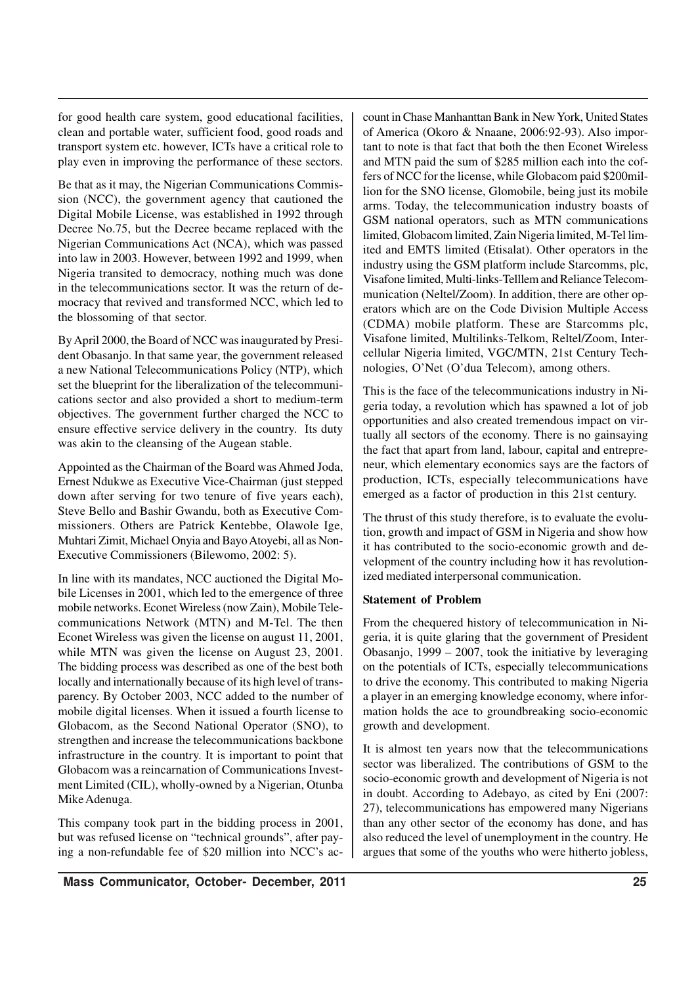for good health care system, good educational facilities, clean and portable water, sufficient food, good roads and transport system etc. however, ICTs have a critical role to play even in improving the performance of these sectors.

Be that as it may, the Nigerian Communications Commission (NCC), the government agency that cautioned the Digital Mobile License, was established in 1992 through Decree No.75, but the Decree became replaced with the Nigerian Communications Act (NCA), which was passed into law in 2003. However, between 1992 and 1999, when Nigeria transited to democracy, nothing much was done in the telecommunications sector. It was the return of democracy that revived and transformed NCC, which led to the blossoming of that sector.

By April 2000, the Board of NCC was inaugurated by President Obasanjo. In that same year, the government released a new National Telecommunications Policy (NTP), which set the blueprint for the liberalization of the telecommunications sector and also provided a short to medium-term objectives. The government further charged the NCC to ensure effective service delivery in the country. Its duty was akin to the cleansing of the Augean stable.

Appointed as the Chairman of the Board was Ahmed Joda, Ernest Ndukwe as Executive Vice-Chairman (just stepped down after serving for two tenure of five years each), Steve Bello and Bashir Gwandu, both as Executive Commissioners. Others are Patrick Kentebbe, Olawole Ige, Muhtari Zimit, Michael Onyia and Bayo Atoyebi, all as Non-Executive Commissioners (Bilewomo, 2002: 5).

In line with its mandates, NCC auctioned the Digital Mobile Licenses in 2001, which led to the emergence of three mobile networks. Econet Wireless (now Zain), Mobile Telecommunications Network (MTN) and M-Tel. The then Econet Wireless was given the license on august 11, 2001, while MTN was given the license on August 23, 2001. The bidding process was described as one of the best both locally and internationally because of its high level of transparency. By October 2003, NCC added to the number of mobile digital licenses. When it issued a fourth license to Globacom, as the Second National Operator (SNO), to strengthen and increase the telecommunications backbone infrastructure in the country. It is important to point that Globacom was a reincarnation of Communications Investment Limited (CIL), wholly-owned by a Nigerian, Otunba Mike Adenuga.

This company took part in the bidding process in 2001, but was refused license on "technical grounds", after paying a non-refundable fee of \$20 million into NCC's account in Chase Manhanttan Bank in New York, United States of America (Okoro & Nnaane, 2006:92-93). Also important to note is that fact that both the then Econet Wireless and MTN paid the sum of \$285 million each into the coffers of NCC for the license, while Globacom paid \$200million for the SNO license, Glomobile, being just its mobile arms. Today, the telecommunication industry boasts of GSM national operators, such as MTN communications limited, Globacom limited, Zain Nigeria limited, M-Tel limited and EMTS limited (Etisalat). Other operators in the industry using the GSM platform include Starcomms, plc, Visafone limited, Multi-links-Telllem and Reliance Telecommunication (Neltel/Zoom). In addition, there are other operators which are on the Code Division Multiple Access (CDMA) mobile platform. These are Starcomms plc, Visafone limited, Multilinks-Telkom, Reltel/Zoom, Intercellular Nigeria limited, VGC/MTN, 21st Century Technologies, O'Net (O'dua Telecom), among others.

This is the face of the telecommunications industry in Nigeria today, a revolution which has spawned a lot of job opportunities and also created tremendous impact on virtually all sectors of the economy. There is no gainsaying the fact that apart from land, labour, capital and entrepreneur, which elementary economics says are the factors of production, ICTs, especially telecommunications have emerged as a factor of production in this 21st century.

The thrust of this study therefore, is to evaluate the evolution, growth and impact of GSM in Nigeria and show how it has contributed to the socio-economic growth and development of the country including how it has revolutionized mediated interpersonal communication.

#### **Statement of Problem**

From the chequered history of telecommunication in Nigeria, it is quite glaring that the government of President Obasanjo, 1999 – 2007, took the initiative by leveraging on the potentials of ICTs, especially telecommunications to drive the economy. This contributed to making Nigeria a player in an emerging knowledge economy, where information holds the ace to groundbreaking socio-economic growth and development.

It is almost ten years now that the telecommunications sector was liberalized. The contributions of GSM to the socio-economic growth and development of Nigeria is not in doubt. According to Adebayo, as cited by Eni (2007: 27), telecommunications has empowered many Nigerians than any other sector of the economy has done, and has also reduced the level of unemployment in the country. He argues that some of the youths who were hitherto jobless,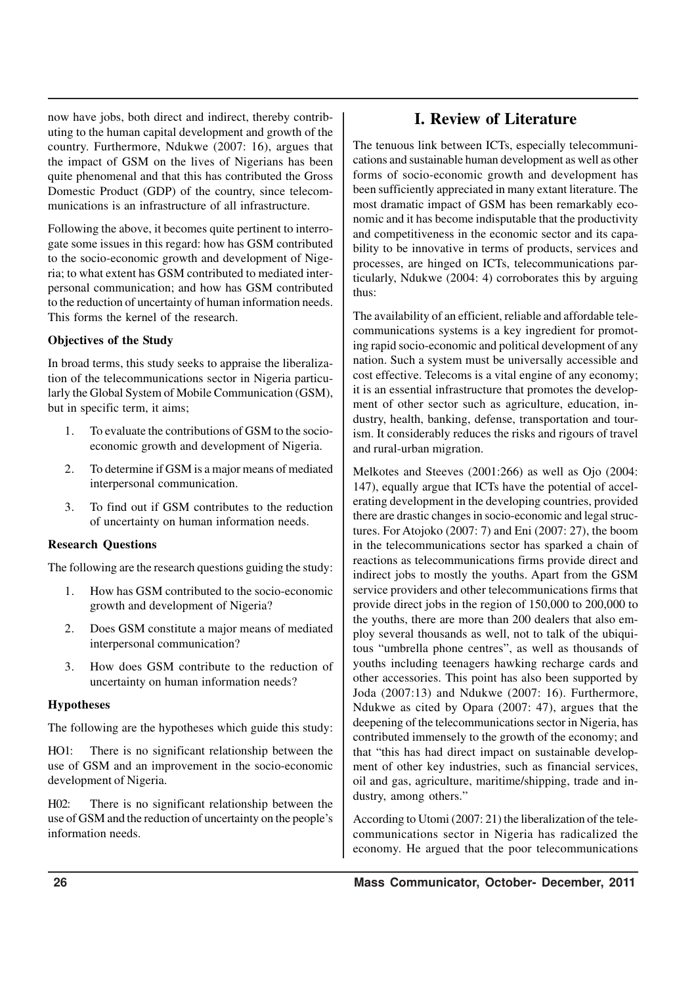now have jobs, both direct and indirect, thereby contributing to the human capital development and growth of the country. Furthermore, Ndukwe (2007: 16), argues that the impact of GSM on the lives of Nigerians has been quite phenomenal and that this has contributed the Gross Domestic Product (GDP) of the country, since telecommunications is an infrastructure of all infrastructure.

Following the above, it becomes quite pertinent to interrogate some issues in this regard: how has GSM contributed to the socio-economic growth and development of Nigeria; to what extent has GSM contributed to mediated interpersonal communication; and how has GSM contributed to the reduction of uncertainty of human information needs. This forms the kernel of the research.

## **Objectives of the Study**

In broad terms, this study seeks to appraise the liberalization of the telecommunications sector in Nigeria particularly the Global System of Mobile Communication (GSM), but in specific term, it aims;

- 1. To evaluate the contributions of GSM to the socioeconomic growth and development of Nigeria.
- 2. To determine if GSM is a major means of mediated interpersonal communication.
- 3. To find out if GSM contributes to the reduction of uncertainty on human information needs.

#### **Research Questions**

The following are the research questions guiding the study:

- 1. How has GSM contributed to the socio-economic growth and development of Nigeria?
- 2. Does GSM constitute a major means of mediated interpersonal communication?
- 3. How does GSM contribute to the reduction of uncertainty on human information needs?

#### **Hypotheses**

The following are the hypotheses which guide this study:

HO1: There is no significant relationship between the use of GSM and an improvement in the socio-economic development of Nigeria.

H02: There is no significant relationship between the use of GSM and the reduction of uncertainty on the people's information needs.

## **I. Review of Literature**

The tenuous link between ICTs, especially telecommunications and sustainable human development as well as other forms of socio-economic growth and development has been sufficiently appreciated in many extant literature. The most dramatic impact of GSM has been remarkably economic and it has become indisputable that the productivity and competitiveness in the economic sector and its capability to be innovative in terms of products, services and processes, are hinged on ICTs, telecommunications particularly, Ndukwe (2004: 4) corroborates this by arguing thus:

The availability of an efficient, reliable and affordable telecommunications systems is a key ingredient for promoting rapid socio-economic and political development of any nation. Such a system must be universally accessible and cost effective. Telecoms is a vital engine of any economy; it is an essential infrastructure that promotes the development of other sector such as agriculture, education, industry, health, banking, defense, transportation and tourism. It considerably reduces the risks and rigours of travel and rural-urban migration.

Melkotes and Steeves (2001:266) as well as Ojo (2004: 147), equally argue that ICTs have the potential of accelerating development in the developing countries, provided there are drastic changes in socio-economic and legal structures. For Atojoko (2007: 7) and Eni (2007: 27), the boom in the telecommunications sector has sparked a chain of reactions as telecommunications firms provide direct and indirect jobs to mostly the youths. Apart from the GSM service providers and other telecommunications firms that provide direct jobs in the region of 150,000 to 200,000 to the youths, there are more than 200 dealers that also employ several thousands as well, not to talk of the ubiquitous "umbrella phone centres", as well as thousands of youths including teenagers hawking recharge cards and other accessories. This point has also been supported by Joda (2007:13) and Ndukwe (2007: 16). Furthermore, Ndukwe as cited by Opara (2007: 47), argues that the deepening of the telecommunications sector in Nigeria, has contributed immensely to the growth of the economy; and that "this has had direct impact on sustainable development of other key industries, such as financial services, oil and gas, agriculture, maritime/shipping, trade and industry, among others."

According to Utomi (2007: 21) the liberalization of the telecommunications sector in Nigeria has radicalized the economy. He argued that the poor telecommunications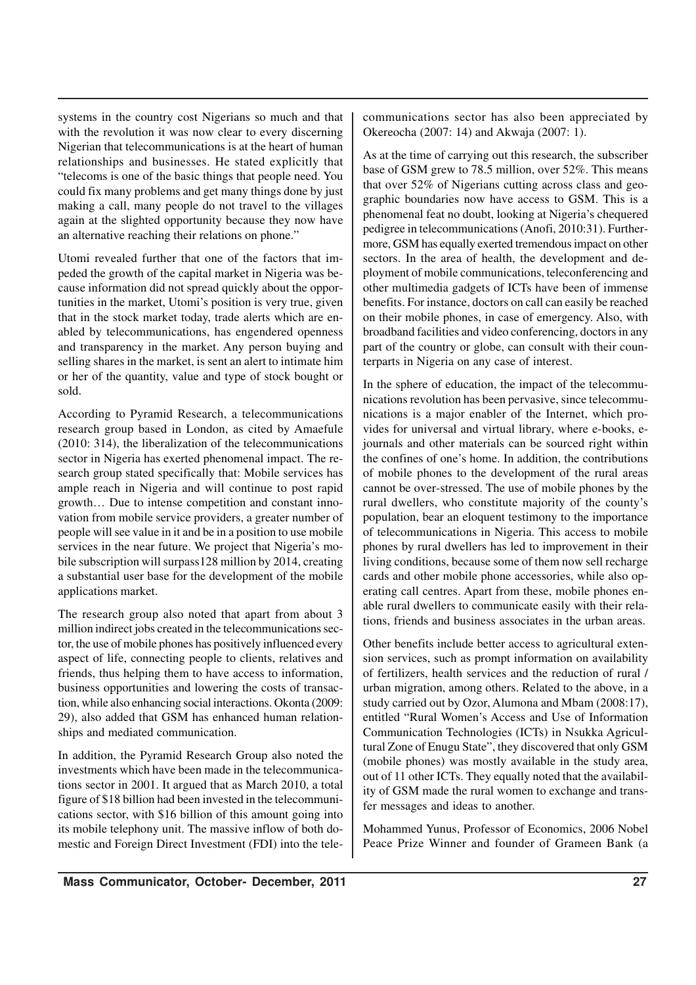systems in the country cost Nigerians so much and that with the revolution it was now clear to every discerning Nigerian that telecommunications is at the heart of human relationships and businesses. He stated explicitly that "telecoms is one of the basic things that people need. You could fix many problems and get many things done by just making a call, many people do not travel to the villages again at the slighted opportunity because they now have an alternative reaching their relations on phone."

Utomi revealed further that one of the factors that impeded the growth of the capital market in Nigeria was because information did not spread quickly about the opportunities in the market, Utomi's position is very true, given that in the stock market today, trade alerts which are enabled by telecommunications, has engendered openness and transparency in the market. Any person buying and selling shares in the market, is sent an alert to intimate him or her of the quantity, value and type of stock bought or sold.

According to Pyramid Research, a telecommunications research group based in London, as cited by Amaefule (2010: 314), the liberalization of the telecommunications sector in Nigeria has exerted phenomenal impact. The research group stated specifically that: Mobile services has ample reach in Nigeria and will continue to post rapid growth… Due to intense competition and constant innovation from mobile service providers, a greater number of people will see value in it and be in a position to use mobile services in the near future. We project that Nigeria's mobile subscription will surpass128 million by 2014, creating a substantial user base for the development of the mobile applications market.

The research group also noted that apart from about 3 million indirect jobs created in the telecommunications sector, the use of mobile phones has positively influenced every aspect of life, connecting people to clients, relatives and friends, thus helping them to have access to information, business opportunities and lowering the costs of transaction, while also enhancing social interactions. Okonta (2009: 29), also added that GSM has enhanced human relationships and mediated communication.

In addition, the Pyramid Research Group also noted the investments which have been made in the telecommunications sector in 2001. It argued that as March 2010, a total figure of \$18 billion had been invested in the telecommunications sector, with \$16 billion of this amount going into its mobile telephony unit. The massive inflow of both domestic and Foreign Direct Investment (FDI) into the telecommunications sector has also been appreciated by Okereocha (2007: 14) and Akwaja (2007: 1).

As at the time of carrying out this research, the subscriber base of GSM grew to 78.5 million, over 52%. This means that over 52% of Nigerians cutting across class and geographic boundaries now have access to GSM. This is a phenomenal feat no doubt, looking at Nigeria's chequered pedigree in telecommunications (Anofi, 2010:31). Furthermore, GSM has equally exerted tremendous impact on other sectors. In the area of health, the development and deployment of mobile communications, teleconferencing and other multimedia gadgets of ICTs have been of immense benefits. For instance, doctors on call can easily be reached on their mobile phones, in case of emergency. Also, with broadband facilities and video conferencing, doctors in any part of the country or globe, can consult with their counterparts in Nigeria on any case of interest.

In the sphere of education, the impact of the telecommunications revolution has been pervasive, since telecommunications is a major enabler of the Internet, which provides for universal and virtual library, where e-books, ejournals and other materials can be sourced right within the confines of one's home. In addition, the contributions of mobile phones to the development of the rural areas cannot be over-stressed. The use of mobile phones by the rural dwellers, who constitute majority of the county's population, bear an eloquent testimony to the importance of telecommunications in Nigeria. This access to mobile phones by rural dwellers has led to improvement in their living conditions, because some of them now sell recharge cards and other mobile phone accessories, while also operating call centres. Apart from these, mobile phones enable rural dwellers to communicate easily with their relations, friends and business associates in the urban areas.

Other benefits include better access to agricultural extension services, such as prompt information on availability of fertilizers, health services and the reduction of rural / urban migration, among others. Related to the above, in a study carried out by Ozor, Alumona and Mbam (2008:17), entitled "Rural Women's Access and Use of Information Communication Technologies (ICTs) in Nsukka Agricultural Zone of Enugu State", they discovered that only GSM (mobile phones) was mostly available in the study area, out of 11 other ICTs. They equally noted that the availability of GSM made the rural women to exchange and transfer messages and ideas to another.

Mohammed Yunus, Professor of Economics, 2006 Nobel Peace Prize Winner and founder of Grameen Bank (a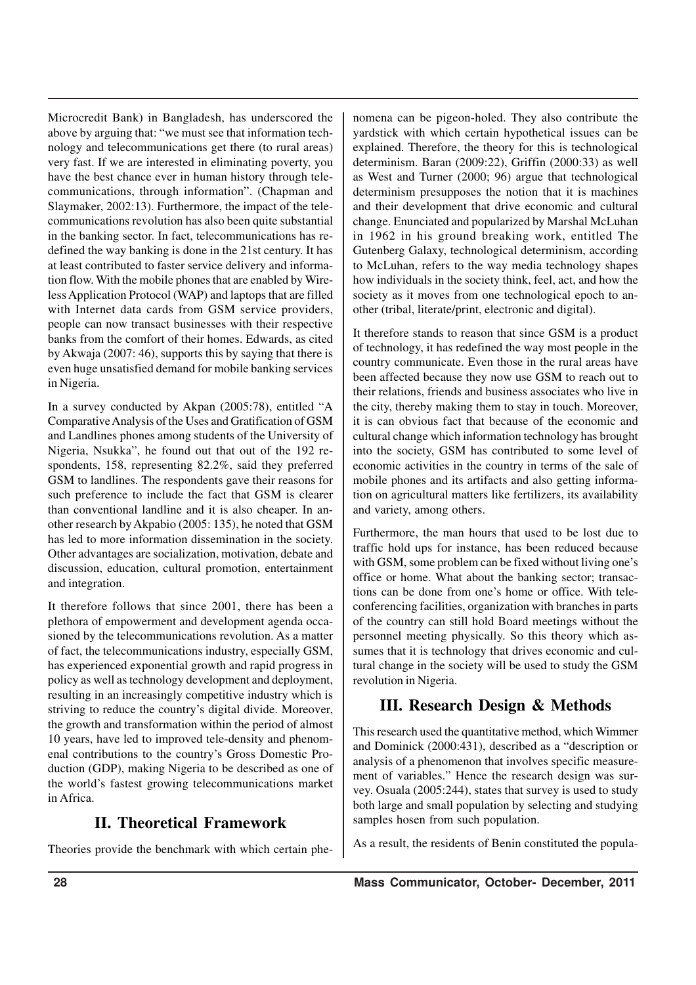Microcredit Bank) in Bangladesh, has underscored the above by arguing that: "we must see that information technology and telecommunications get there (to rural areas) very fast. If we are interested in eliminating poverty, you have the best chance ever in human history through telecommunications, through information". (Chapman and Slaymaker, 2002:13). Furthermore, the impact of the telecommunications revolution has also been quite substantial in the banking sector. In fact, telecommunications has redefined the way banking is done in the 21st century. It has at least contributed to faster service delivery and information flow. With the mobile phones that are enabled by Wireless Application Protocol (WAP) and laptops that are filled with Internet data cards from GSM service providers, people can now transact businesses with their respective banks from the comfort of their homes. Edwards, as cited by Akwaja (2007: 46), supports this by saying that there is even huge unsatisfied demand for mobile banking services in Nigeria.

In a survey conducted by Akpan (2005:78), entitled "A Comparative Analysis of the Uses and Gratification of GSM and Landlines phones among students of the University of Nigeria, Nsukka", he found out that out of the 192 respondents, 158, representing 82.2%, said they preferred GSM to landlines. The respondents gave their reasons for such preference to include the fact that GSM is clearer than conventional landline and it is also cheaper. In another research by Akpabio (2005: 135), he noted that GSM has led to more information dissemination in the society. Other advantages are socialization, motivation, debate and discussion, education, cultural promotion, entertainment and integration.

It therefore follows that since 2001, there has been a plethora of empowerment and development agenda occasioned by the telecommunications revolution. As a matter of fact, the telecommunications industry, especially GSM, has experienced exponential growth and rapid progress in policy as well as technology development and deployment, resulting in an increasingly competitive industry which is striving to reduce the country's digital divide. Moreover, the growth and transformation within the period of almost 10 years, have led to improved tele-density and phenomenal contributions to the country's Gross Domestic Production (GDP), making Nigeria to be described as one of the world's fastest growing telecommunications market in Africa.

## **II. Theoretical Framework**

Theories provide the benchmark with which certain phe-

nomena can be pigeon-holed. They also contribute the yardstick with which certain hypothetical issues can be explained. Therefore, the theory for this is technological determinism. Baran (2009:22), Griffin (2000:33) as well as West and Turner (2000; 96) argue that technological determinism presupposes the notion that it is machines and their development that drive economic and cultural change. Enunciated and popularized by Marshal McLuhan in 1962 in his ground breaking work, entitled The Gutenberg Galaxy, technological determinism, according to McLuhan, refers to the way media technology shapes how individuals in the society think, feel, act, and how the society as it moves from one technological epoch to another (tribal, literate/print, electronic and digital).

It therefore stands to reason that since GSM is a product of technology, it has redefined the way most people in the country communicate. Even those in the rural areas have been affected because they now use GSM to reach out to their relations, friends and business associates who live in the city, thereby making them to stay in touch. Moreover, it is can obvious fact that because of the economic and cultural change which information technology has brought into the society, GSM has contributed to some level of economic activities in the country in terms of the sale of mobile phones and its artifacts and also getting information on agricultural matters like fertilizers, its availability and variety, among others.

Furthermore, the man hours that used to be lost due to traffic hold ups for instance, has been reduced because with GSM, some problem can be fixed without living one's office or home. What about the banking sector; transactions can be done from one's home or office. With teleconferencing facilities, organization with branches in parts of the country can still hold Board meetings without the personnel meeting physically. So this theory which assumes that it is technology that drives economic and cultural change in the society will be used to study the GSM revolution in Nigeria.

## **III. Research Design & Methods**

This research used the quantitative method, which Wimmer and Dominick (2000:431), described as a "description or analysis of a phenomenon that involves specific measurement of variables." Hence the research design was survey. Osuala (2005:244), states that survey is used to study both large and small population by selecting and studying samples hosen from such population.

As a result, the residents of Benin constituted the popula-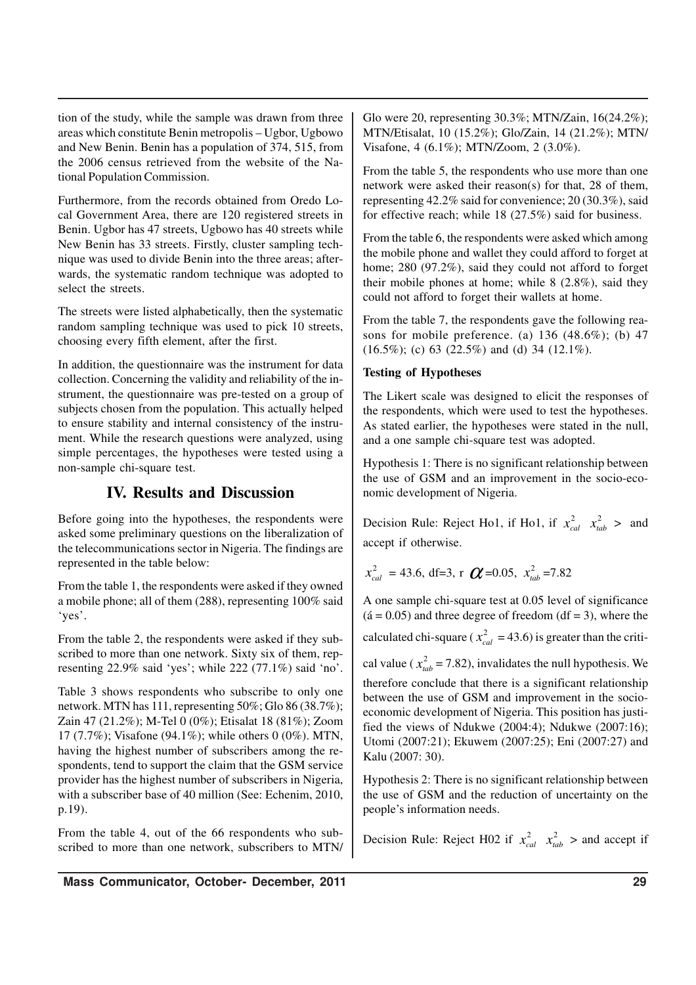tion of the study, while the sample was drawn from three areas which constitute Benin metropolis – Ugbor, Ugbowo and New Benin. Benin has a population of 374, 515, from the 2006 census retrieved from the website of the National Population Commission.

Furthermore, from the records obtained from Oredo Local Government Area, there are 120 registered streets in Benin. Ugbor has 47 streets, Ugbowo has 40 streets while New Benin has 33 streets. Firstly, cluster sampling technique was used to divide Benin into the three areas; afterwards, the systematic random technique was adopted to select the streets.

The streets were listed alphabetically, then the systematic random sampling technique was used to pick 10 streets, choosing every fifth element, after the first.

In addition, the questionnaire was the instrument for data collection. Concerning the validity and reliability of the instrument, the questionnaire was pre-tested on a group of subjects chosen from the population. This actually helped to ensure stability and internal consistency of the instrument. While the research questions were analyzed, using simple percentages, the hypotheses were tested using a non-sample chi-square test.

## **IV. Results and Discussion**

Before going into the hypotheses, the respondents were asked some preliminary questions on the liberalization of the telecommunications sector in Nigeria. The findings are represented in the table below:

From the table 1, the respondents were asked if they owned a mobile phone; all of them (288), representing 100% said 'yes'.

From the table 2, the respondents were asked if they subscribed to more than one network. Sixty six of them, representing 22.9% said 'yes'; while 222 (77.1%) said 'no'.

Table 3 shows respondents who subscribe to only one network. MTN has 111, representing 50%; Glo 86 (38.7%); Zain 47 (21.2%); M-Tel 0 (0%); Etisalat 18 (81%); Zoom 17 (7.7%); Visafone (94.1%); while others 0 (0%). MTN, having the highest number of subscribers among the respondents, tend to support the claim that the GSM service provider has the highest number of subscribers in Nigeria, with a subscriber base of 40 million (See: Echenim, 2010, p.19).

From the table 4, out of the 66 respondents who subscribed to more than one network, subscribers to MTN/ Glo were 20, representing 30.3%; MTN/Zain, 16(24.2%); MTN/Etisalat, 10 (15.2%); Glo/Zain, 14 (21.2%); MTN/ Visafone, 4 (6.1%); MTN/Zoom, 2 (3.0%).

From the table 5, the respondents who use more than one network were asked their reason(s) for that, 28 of them, representing 42.2% said for convenience; 20 (30.3%), said for effective reach; while 18 (27.5%) said for business.

From the table 6, the respondents were asked which among the mobile phone and wallet they could afford to forget at home; 280 (97.2%), said they could not afford to forget their mobile phones at home; while 8 (2.8%), said they could not afford to forget their wallets at home.

From the table 7, the respondents gave the following reasons for mobile preference. (a)  $136$  (48.6%); (b) 47  $(16.5\%)$ ; (c) 63 (22.5%) and (d) 34 (12.1%).

## **Testing of Hypotheses**

The Likert scale was designed to elicit the responses of the respondents, which were used to test the hypotheses. As stated earlier, the hypotheses were stated in the null, and a one sample chi-square test was adopted.

Hypothesis 1: There is no significant relationship between the use of GSM and an improvement in the socio-economic development of Nigeria.

Decision Rule: Reject Ho1, if Ho1, if  $x_{cal}^2$   $x_{lab}^2$  > and accept if otherwise.

$$
x_{cal}^2 = 43.6
$$
, df=3, r  $\boldsymbol{C} = 0.05$ ,  $x_{tab}^2 = 7.82$ 

A one sample chi-square test at 0.05 level of significance  $(4 = 0.05)$  and three degree of freedom  $(df = 3)$ , where the calculated chi-square ( $x_{cal}^2$  = 43.6) is greater than the critical value ( $x_{tab}^2 = 7.82$ ), invalidates the null hypothesis. We therefore conclude that there is a significant relationship between the use of GSM and improvement in the socioeconomic development of Nigeria. This position has justi-

fied the views of Ndukwe (2004:4); Ndukwe (2007:16); Utomi (2007:21); Ekuwem (2007:25); Eni (2007:27) and Kalu (2007: 30).

Hypothesis 2: There is no significant relationship between the use of GSM and the reduction of uncertainty on the people's information needs.

Decision Rule: Reject H02 if  $x_{cal}^2$   $x_{tab}^2$  > and accept if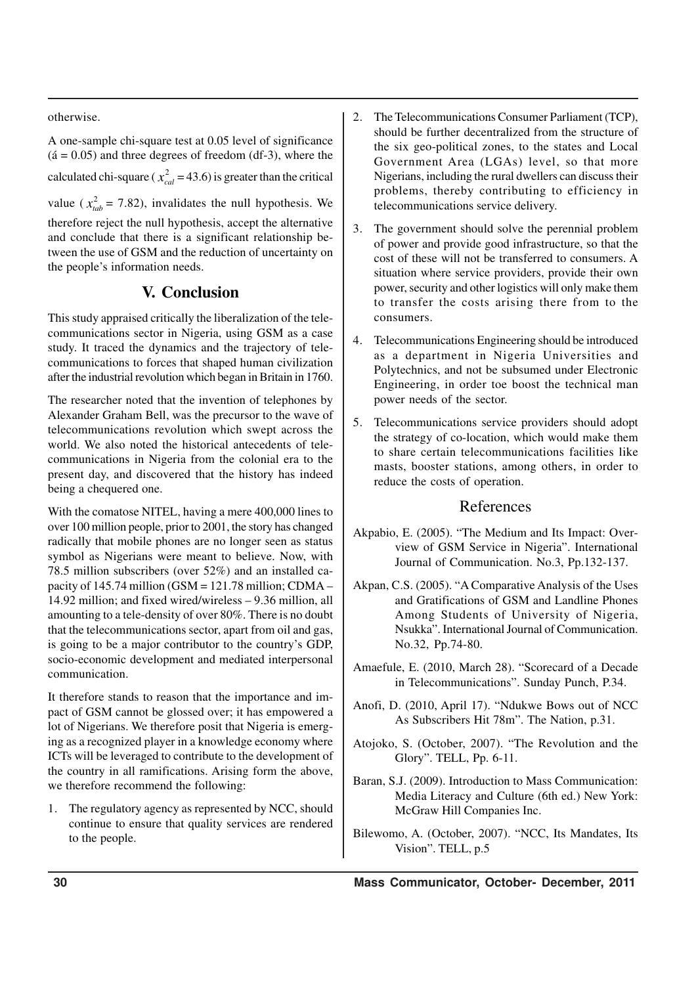otherwise.

A one-sample chi-square test at 0.05 level of significance  $(4 = 0.05)$  and three degrees of freedom (df-3), where the calculated chi-square ( $x_{cal}^2$  = 43.6) is greater than the critical value ( $x_{\text{tab}}^2 = 7.82$ ), invalidates the null hypothesis. We therefore reject the null hypothesis, accept the alternative and conclude that there is a significant relationship between the use of GSM and the reduction of uncertainty on the people's information needs.

## **V. Conclusion**

This study appraised critically the liberalization of the telecommunications sector in Nigeria, using GSM as a case study. It traced the dynamics and the trajectory of telecommunications to forces that shaped human civilization after the industrial revolution which began in Britain in 1760.

The researcher noted that the invention of telephones by Alexander Graham Bell, was the precursor to the wave of telecommunications revolution which swept across the world. We also noted the historical antecedents of telecommunications in Nigeria from the colonial era to the present day, and discovered that the history has indeed being a chequered one.

With the comatose NITEL, having a mere 400,000 lines to over 100 million people, prior to 2001, the story has changed radically that mobile phones are no longer seen as status symbol as Nigerians were meant to believe. Now, with 78.5 million subscribers (over 52%) and an installed capacity of  $145.74$  million (GSM = 121.78 million; CDMA – 14.92 million; and fixed wired/wireless – 9.36 million, all amounting to a tele-density of over 80%. There is no doubt that the telecommunications sector, apart from oil and gas, is going to be a major contributor to the country's GDP, socio-economic development and mediated interpersonal communication.

It therefore stands to reason that the importance and impact of GSM cannot be glossed over; it has empowered a lot of Nigerians. We therefore posit that Nigeria is emerging as a recognized player in a knowledge economy where ICTs will be leveraged to contribute to the development of the country in all ramifications. Arising form the above, we therefore recommend the following:

1. The regulatory agency as represented by NCC, should continue to ensure that quality services are rendered to the people.

- 2. The Telecommunications Consumer Parliament (TCP), should be further decentralized from the structure of the six geo-political zones, to the states and Local Government Area (LGAs) level, so that more Nigerians, including the rural dwellers can discuss their problems, thereby contributing to efficiency in telecommunications service delivery.
- 3. The government should solve the perennial problem of power and provide good infrastructure, so that the cost of these will not be transferred to consumers. A situation where service providers, provide their own power, security and other logistics will only make them to transfer the costs arising there from to the consumers.
- 4. Telecommunications Engineering should be introduced as a department in Nigeria Universities and Polytechnics, and not be subsumed under Electronic Engineering, in order toe boost the technical man power needs of the sector.
- 5. Telecommunications service providers should adopt the strategy of co-location, which would make them to share certain telecommunications facilities like masts, booster stations, among others, in order to reduce the costs of operation.

## References

- Akpabio, E. (2005). "The Medium and Its Impact: Overview of GSM Service in Nigeria". International Journal of Communication. No.3, Pp.132-137.
- Akpan, C.S. (2005). "A Comparative Analysis of the Uses and Gratifications of GSM and Landline Phones Among Students of University of Nigeria, Nsukka". International Journal of Communication. No.32, Pp.74-80.
- Amaefule, E. (2010, March 28). "Scorecard of a Decade in Telecommunications". Sunday Punch, P.34.
- Anofi, D. (2010, April 17). "Ndukwe Bows out of NCC As Subscribers Hit 78m". The Nation, p.31.
- Atojoko, S. (October, 2007). "The Revolution and the Glory". TELL, Pp. 6-11.
- Baran, S.J. (2009). Introduction to Mass Communication: Media Literacy and Culture (6th ed.) New York: McGraw Hill Companies Inc.
- Bilewomo, A. (October, 2007). "NCC, Its Mandates, Its Vision". TELL, p.5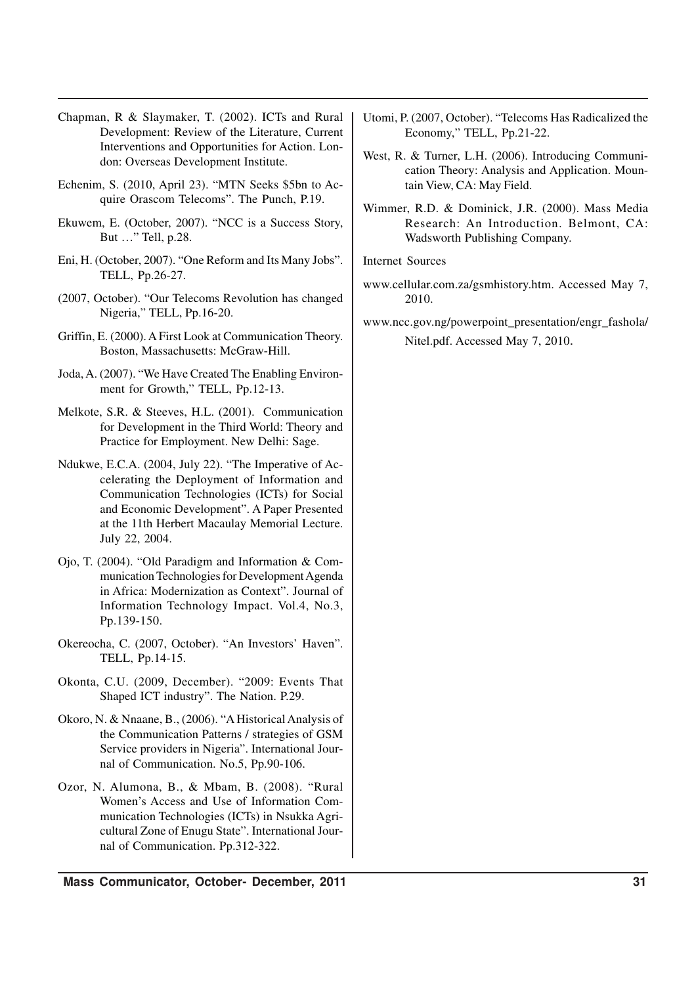Chapman, R & Slaymaker, T. (2002). ICTs and Rural Development: Review of the Literature, Current Interventions and Opportunities for Action. London: Overseas Development Institute.

- Echenim, S. (2010, April 23). "MTN Seeks \$5bn to Acquire Orascom Telecoms". The Punch, P.19.
- Ekuwem, E. (October, 2007). "NCC is a Success Story, But …" Tell, p.28.
- Eni, H. (October, 2007). "One Reform and Its Many Jobs". TELL, Pp.26-27.
- (2007, October). "Our Telecoms Revolution has changed Nigeria," TELL, Pp.16-20.
- Griffin, E. (2000). A First Look at Communication Theory. Boston, Massachusetts: McGraw-Hill.
- Joda, A. (2007). "We Have Created The Enabling Environment for Growth," TELL, Pp.12-13.
- Melkote, S.R. & Steeves, H.L. (2001). Communication for Development in the Third World: Theory and Practice for Employment. New Delhi: Sage.
- Ndukwe, E.C.A. (2004, July 22). "The Imperative of Accelerating the Deployment of Information and Communication Technologies (ICTs) for Social and Economic Development". A Paper Presented at the 11th Herbert Macaulay Memorial Lecture. July 22, 2004.
- Ojo, T. (2004). "Old Paradigm and Information & Communication Technologies for Development Agenda in Africa: Modernization as Context". Journal of Information Technology Impact. Vol.4, No.3, Pp.139-150.
- Okereocha, C. (2007, October). "An Investors' Haven". TELL, Pp.14-15.
- Okonta, C.U. (2009, December). "2009: Events That Shaped ICT industry". The Nation. P.29.
- Okoro, N. & Nnaane, B., (2006). "A Historical Analysis of the Communication Patterns / strategies of GSM Service providers in Nigeria". International Journal of Communication. No.5, Pp.90-106.
- Ozor, N. Alumona, B., & Mbam, B. (2008). "Rural Women's Access and Use of Information Communication Technologies (ICTs) in Nsukka Agricultural Zone of Enugu State". International Journal of Communication. Pp.312-322.
- Utomi, P. (2007, October). "Telecoms Has Radicalized the Economy," TELL, Pp.21-22.
- West, R. & Turner, L.H. (2006). Introducing Communication Theory: Analysis and Application. Mountain View, CA: May Field.
- Wimmer, R.D. & Dominick, J.R. (2000). Mass Media Research: An Introduction. Belmont, CA: Wadsworth Publishing Company.

Internet Sources

- www.cellular.com.za/gsmhistory.htm. Accessed May 7, 2010.
- www.ncc.gov.ng/powerpoint\_presentation/engr\_fashola/ Nitel.pdf. Accessed May 7, 2010.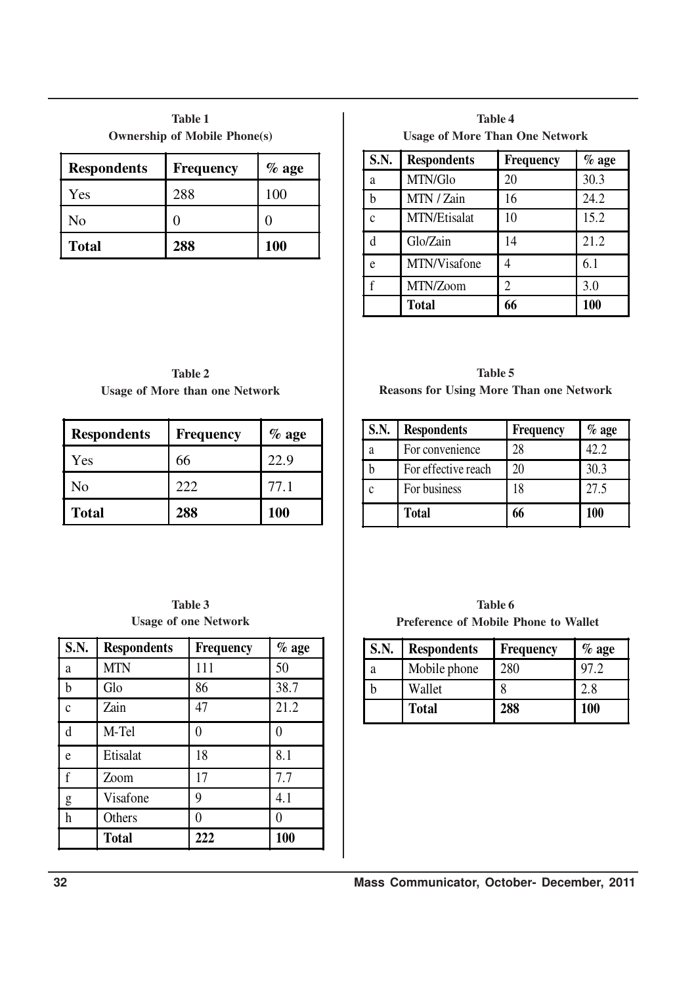| <b>Table 1</b>                      |
|-------------------------------------|
| <b>Ownership of Mobile Phone(s)</b> |

| <b>Respondents</b> | <b>Frequency</b> | $%$ age    |
|--------------------|------------------|------------|
| Yes                | 288              | 100        |
| No                 |                  |            |
| <b>Total</b>       | 288              | <b>100</b> |

**Table 4 Usage of More Than One Network**

| <b>S.N.</b> | <b>Respondents</b> | <b>Frequency</b> | $%$ age |
|-------------|--------------------|------------------|---------|
| a           | MTN/Glo            | 20               | 30.3    |
| h           | MTN / Zain         | 16               | 24.2    |
| $\mathbf c$ | MTN/Etisalat       | 10               | 15.2    |
| d           | Glo/Zain           | 14               | 21.2    |
| e           | MTN/Visafone       |                  | 6.1     |
|             | MTN/Zoom           | $\mathfrak{D}$   | 3.0     |
|             | <b>Total</b>       | 66               | 100     |

**Table 2 Usage of More than one Network**

| <b>Respondents</b> | Frequency | $%$ age |
|--------------------|-----------|---------|
| Yes                | 66        | 22.9    |
| No                 | 222       | 77.1    |
| <b>Total</b>       | 288       | 100     |

## **Table 3 Usage of one Network**

| $\overline{\textbf{S}.\textbf{N}}$ . | <b>Respondents</b> | <b>Frequency</b> | $%$ age |
|--------------------------------------|--------------------|------------------|---------|
| a                                    | <b>MTN</b>         | 111              | 50      |
| $\mathbf b$                          | Glo                | 86               | 38.7    |
| $\mathbf{c}$                         | Zain               | 47               | 21.2    |
| d                                    | M-Tel              |                  | 0       |
| e                                    | Etisalat           | 18               | 8.1     |
| $\mathbf f$                          | Zoom               | 17               | 7.7     |
| g                                    | Visafone           | 9                | 4.1     |
| h                                    | Others             | 0                | 0       |
|                                      | <b>Total</b>       | 222              | 100     |

**Table 5 Reasons for Using More Than one Network**

| S.N. | <b>Respondents</b>  | <b>Frequency</b> | $%$ age |
|------|---------------------|------------------|---------|
| a    | For convenience     | 28               | 42.2    |
|      | For effective reach | 20               | 30.3    |
|      | For business        | 18               | 27.5    |
|      | <b>Total</b>        | 66               | 100     |

**Table 6 Preference of Mobile Phone to Wallet**

l.

| <b>S.N.</b> | <b>Respondents</b> | <b>Frequency</b> | $%$ age |
|-------------|--------------------|------------------|---------|
| a           | Mobile phone       | 280              | 97.2    |
|             | Wallet             |                  | 2.8     |
|             | <b>Total</b>       | 288              | 100     |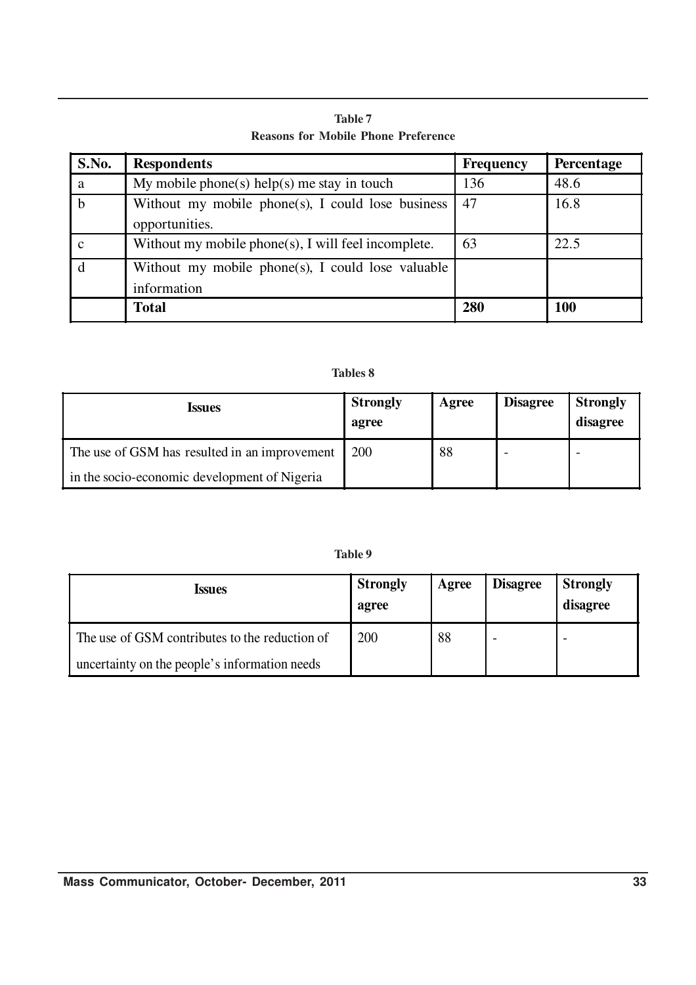**Table 7 Reasons for Mobile Phone Preference**

| S.No. | <b>Respondents</b>                                                  | <b>Frequency</b> | Percentage |
|-------|---------------------------------------------------------------------|------------------|------------|
| a     | My mobile phone(s) help(s) me stay in touch                         | 136              | 48.6       |
| b     | Without my mobile phone(s), I could lose business<br>opportunities. | 47               | 16.8       |
| C     | Without my mobile phone(s), I will feel incomplete.                 | 63               | 22.5       |
|       | Without my mobile phone(s), I could lose valuable<br>information    |                  |            |
|       | <b>Total</b>                                                        | 280              | 100        |

## **Tables 8**

| <i><u><b>Issues</b></u></i>                   | <b>Strongly</b><br>agree | Agree | <b>Disagree</b> | <b>Strongly</b><br>disagree |
|-----------------------------------------------|--------------------------|-------|-----------------|-----------------------------|
| The use of GSM has resulted in an improvement | 200                      | 88    |                 |                             |
| in the socio-economic development of Nigeria  |                          |       |                 |                             |

**Table 9**

| <i><b>Issues</b></i>                           | <b>Strongly</b><br>agree | Agree | <b>Disagree</b> | <b>Strongly</b><br>disagree |
|------------------------------------------------|--------------------------|-------|-----------------|-----------------------------|
| The use of GSM contributes to the reduction of | 200                      | 88    |                 |                             |
| uncertainty on the people's information needs  |                          |       |                 |                             |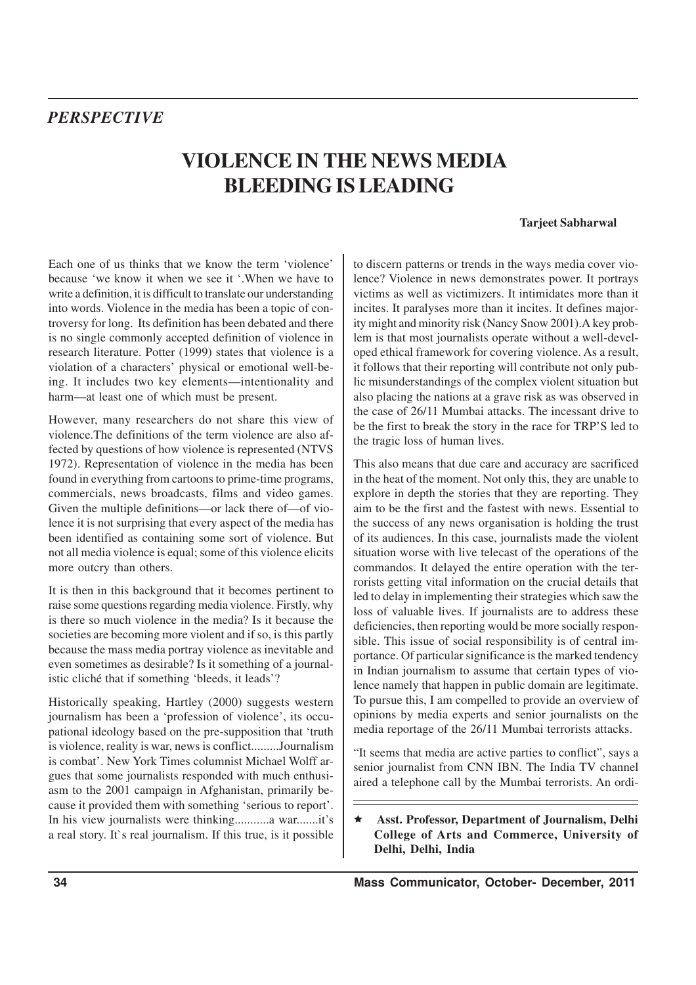# *PERSPECTIVE*

# **VIOLENCE IN THE NEWS MEDIA BLEEDING IS LEADING**

#### **Tarjeet Sabharwal**

Each one of us thinks that we know the term 'violence' because 'we know it when we see it '.When we have to write a definition, it is difficult to translate our understanding into words. Violence in the media has been a topic of controversy for long. Its definition has been debated and there is no single commonly accepted definition of violence in research literature. Potter (1999) states that violence is a violation of a characters' physical or emotional well-being. It includes two key elements—intentionality and harm—at least one of which must be present.

However, many researchers do not share this view of violence.The definitions of the term violence are also affected by questions of how violence is represented (NTVS 1972). Representation of violence in the media has been found in everything from cartoons to prime-time programs, commercials, news broadcasts, films and video games. Given the multiple definitions—or lack there of—of violence it is not surprising that every aspect of the media has been identified as containing some sort of violence. But not all media violence is equal; some of this violence elicits more outcry than others.

It is then in this background that it becomes pertinent to raise some questions regarding media violence. Firstly, why is there so much violence in the media? Is it because the societies are becoming more violent and if so, is this partly because the mass media portray violence as inevitable and even sometimes as desirable? Is it something of a journalistic cliché that if something 'bleeds, it leads'?

Historically speaking, Hartley (2000) suggests western journalism has been a 'profession of violence', its occupational ideology based on the pre-supposition that 'truth is violence, reality is war, news is conflict.........Journalism is combat'. New York Times columnist Michael Wolff argues that some journalists responded with much enthusiasm to the 2001 campaign in Afghanistan, primarily because it provided them with something 'serious to report'. In his view journalists were thinking...........a war.......it's a real story. It`s real journalism. If this true, is it possible to discern patterns or trends in the ways media cover violence? Violence in news demonstrates power. It portrays victims as well as victimizers. It intimidates more than it incites. It paralyses more than it incites. It defines majority might and minority risk (Nancy Snow 2001).A key problem is that most journalists operate without a well-developed ethical framework for covering violence. As a result, it follows that their reporting will contribute not only public misunderstandings of the complex violent situation but also placing the nations at a grave risk as was observed in the case of 26/11 Mumbai attacks. The incessant drive to be the first to break the story in the race for TRP'S led to the tragic loss of human lives.

This also means that due care and accuracy are sacrificed in the heat of the moment. Not only this, they are unable to explore in depth the stories that they are reporting. They aim to be the first and the fastest with news. Essential to the success of any news organisation is holding the trust of its audiences. In this case, journalists made the violent situation worse with live telecast of the operations of the commandos. It delayed the entire operation with the terrorists getting vital information on the crucial details that led to delay in implementing their strategies which saw the loss of valuable lives. If journalists are to address these deficiencies, then reporting would be more socially responsible. This issue of social responsibility is of central importance. Of particular significance is the marked tendency in Indian journalism to assume that certain types of violence namely that happen in public domain are legitimate. To pursue this, I am compelled to provide an overview of opinions by media experts and senior journalists on the media reportage of the 26/11 Mumbai terrorists attacks.

"It seems that media are active parties to conflict", says a senior journalist from CNN IBN. The India TV channel aired a telephone call by the Mumbai terrorists. An ordi-

ê **Asst. Professor, Department of Journalism, Delhi College of Arts and Commerce, University of Delhi, Delhi, India**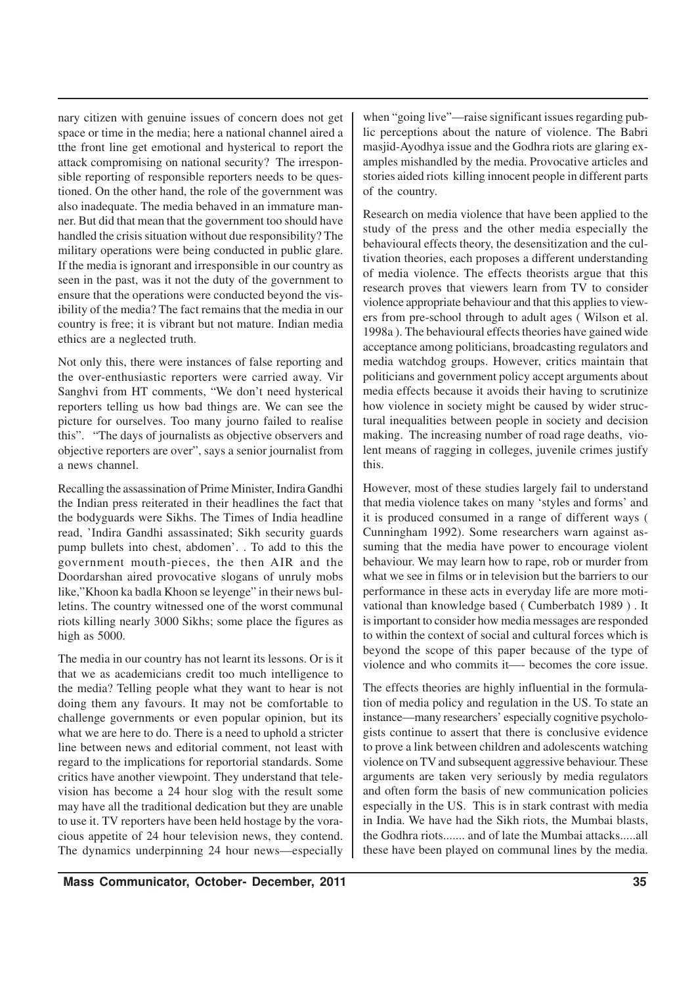nary citizen with genuine issues of concern does not get space or time in the media; here a national channel aired a tthe front line get emotional and hysterical to report the attack compromising on national security? The irresponsible reporting of responsible reporters needs to be questioned. On the other hand, the role of the government was also inadequate. The media behaved in an immature manner. But did that mean that the government too should have handled the crisis situation without due responsibility? The military operations were being conducted in public glare. If the media is ignorant and irresponsible in our country as seen in the past, was it not the duty of the government to ensure that the operations were conducted beyond the visibility of the media? The fact remains that the media in our country is free; it is vibrant but not mature. Indian media ethics are a neglected truth.

Not only this, there were instances of false reporting and the over-enthusiastic reporters were carried away. Vir Sanghvi from HT comments, "We don't need hysterical reporters telling us how bad things are. We can see the picture for ourselves. Too many journo failed to realise this". "The days of journalists as objective observers and objective reporters are over", says a senior journalist from a news channel.

Recalling the assassination of Prime Minister, Indira Gandhi the Indian press reiterated in their headlines the fact that the bodyguards were Sikhs. The Times of India headline read, 'Indira Gandhi assassinated; Sikh security guards pump bullets into chest, abdomen'. . To add to this the government mouth-pieces, the then AIR and the Doordarshan aired provocative slogans of unruly mobs like,"Khoon ka badla Khoon se leyenge" in their news bulletins. The country witnessed one of the worst communal riots killing nearly 3000 Sikhs; some place the figures as high as 5000.

The media in our country has not learnt its lessons. Or is it that we as academicians credit too much intelligence to the media? Telling people what they want to hear is not doing them any favours. It may not be comfortable to challenge governments or even popular opinion, but its what we are here to do. There is a need to uphold a stricter line between news and editorial comment, not least with regard to the implications for reportorial standards. Some critics have another viewpoint. They understand that television has become a 24 hour slog with the result some may have all the traditional dedication but they are unable to use it. TV reporters have been held hostage by the voracious appetite of 24 hour television news, they contend. The dynamics underpinning 24 hour news—especially

when "going live"—raise significant issues regarding public perceptions about the nature of violence. The Babri masjid-Ayodhya issue and the Godhra riots are glaring examples mishandled by the media. Provocative articles and stories aided riots killing innocent people in different parts of the country.

Research on media violence that have been applied to the study of the press and the other media especially the behavioural effects theory, the desensitization and the cultivation theories, each proposes a different understanding of media violence. The effects theorists argue that this research proves that viewers learn from TV to consider violence appropriate behaviour and that this applies to viewers from pre-school through to adult ages ( Wilson et al. 1998a ). The behavioural effects theories have gained wide acceptance among politicians, broadcasting regulators and media watchdog groups. However, critics maintain that politicians and government policy accept arguments about media effects because it avoids their having to scrutinize how violence in society might be caused by wider structural inequalities between people in society and decision making. The increasing number of road rage deaths, violent means of ragging in colleges, juvenile crimes justify this.

However, most of these studies largely fail to understand that media violence takes on many 'styles and forms' and it is produced consumed in a range of different ways ( Cunningham 1992). Some researchers warn against assuming that the media have power to encourage violent behaviour. We may learn how to rape, rob or murder from what we see in films or in television but the barriers to our performance in these acts in everyday life are more motivational than knowledge based ( Cumberbatch 1989 ) . It is important to consider how media messages are responded to within the context of social and cultural forces which is beyond the scope of this paper because of the type of violence and who commits it—- becomes the core issue.

The effects theories are highly influential in the formulation of media policy and regulation in the US. To state an instance—many researchers' especially cognitive psychologists continue to assert that there is conclusive evidence to prove a link between children and adolescents watching violence on TV and subsequent aggressive behaviour. These arguments are taken very seriously by media regulators and often form the basis of new communication policies especially in the US. This is in stark contrast with media in India. We have had the Sikh riots, the Mumbai blasts, the Godhra riots....... and of late the Mumbai attacks.....all these have been played on communal lines by the media.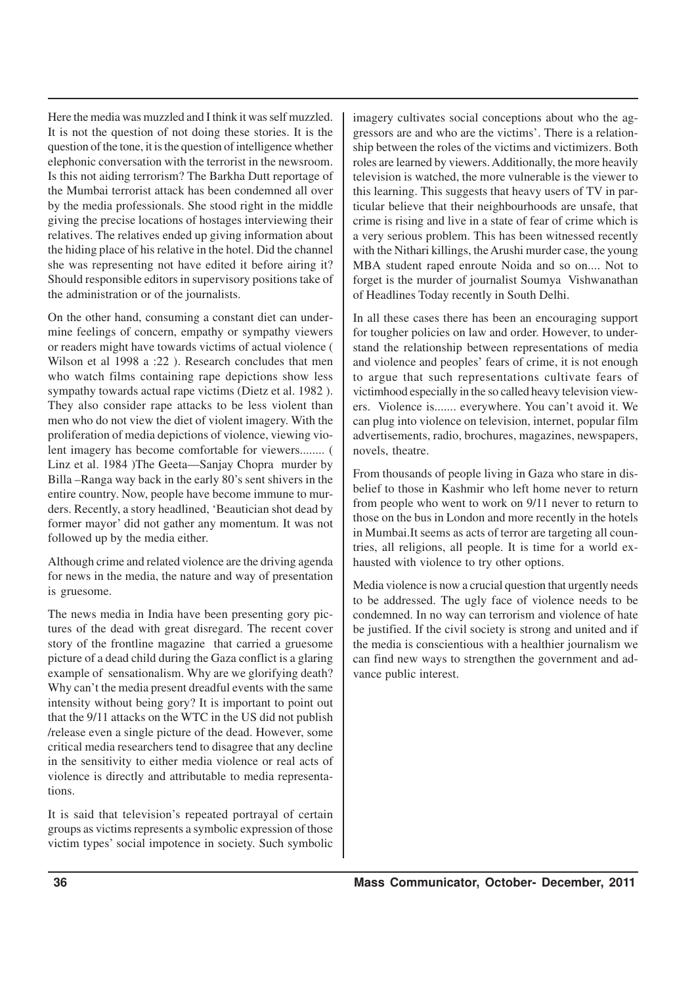Here the media was muzzled and I think it was self muzzled. It is not the question of not doing these stories. It is the question of the tone, it is the question of intelligence whether elephonic conversation with the terrorist in the newsroom. Is this not aiding terrorism? The Barkha Dutt reportage of the Mumbai terrorist attack has been condemned all over by the media professionals. She stood right in the middle giving the precise locations of hostages interviewing their relatives. The relatives ended up giving information about the hiding place of his relative in the hotel. Did the channel she was representing not have edited it before airing it? Should responsible editors in supervisory positions take of the administration or of the journalists.

On the other hand, consuming a constant diet can undermine feelings of concern, empathy or sympathy viewers or readers might have towards victims of actual violence ( Wilson et al 1998 a :22 ). Research concludes that men who watch films containing rape depictions show less sympathy towards actual rape victims (Dietz et al. 1982 ). They also consider rape attacks to be less violent than men who do not view the diet of violent imagery. With the proliferation of media depictions of violence, viewing violent imagery has become comfortable for viewers........ ( Linz et al. 1984 )The Geeta—Sanjay Chopra murder by Billa –Ranga way back in the early 80's sent shivers in the entire country. Now, people have become immune to murders. Recently, a story headlined, 'Beautician shot dead by former mayor' did not gather any momentum. It was not followed up by the media either.

Although crime and related violence are the driving agenda for news in the media, the nature and way of presentation is gruesome.

The news media in India have been presenting gory pictures of the dead with great disregard. The recent cover story of the frontline magazine that carried a gruesome picture of a dead child during the Gaza conflict is a glaring example of sensationalism. Why are we glorifying death? Why can't the media present dreadful events with the same intensity without being gory? It is important to point out that the 9/11 attacks on the WTC in the US did not publish /release even a single picture of the dead. However, some critical media researchers tend to disagree that any decline in the sensitivity to either media violence or real acts of violence is directly and attributable to media representations.

It is said that television's repeated portrayal of certain groups as victims represents a symbolic expression of those victim types' social impotence in society. Such symbolic imagery cultivates social conceptions about who the aggressors are and who are the victims'. There is a relationship between the roles of the victims and victimizers. Both roles are learned by viewers. Additionally, the more heavily television is watched, the more vulnerable is the viewer to this learning. This suggests that heavy users of TV in particular believe that their neighbourhoods are unsafe, that crime is rising and live in a state of fear of crime which is a very serious problem. This has been witnessed recently with the Nithari killings, the Arushi murder case, the young MBA student raped enroute Noida and so on.... Not to forget is the murder of journalist Soumya Vishwanathan of Headlines Today recently in South Delhi.

In all these cases there has been an encouraging support for tougher policies on law and order. However, to understand the relationship between representations of media and violence and peoples' fears of crime, it is not enough to argue that such representations cultivate fears of victimhood especially in the so called heavy television viewers. Violence is....... everywhere. You can't avoid it. We can plug into violence on television, internet, popular film advertisements, radio, brochures, magazines, newspapers, novels, theatre.

From thousands of people living in Gaza who stare in disbelief to those in Kashmir who left home never to return from people who went to work on 9/11 never to return to those on the bus in London and more recently in the hotels in Mumbai.It seems as acts of terror are targeting all countries, all religions, all people. It is time for a world exhausted with violence to try other options.

Media violence is now a crucial question that urgently needs to be addressed. The ugly face of violence needs to be condemned. In no way can terrorism and violence of hate be justified. If the civil society is strong and united and if the media is conscientious with a healthier journalism we can find new ways to strengthen the government and advance public interest.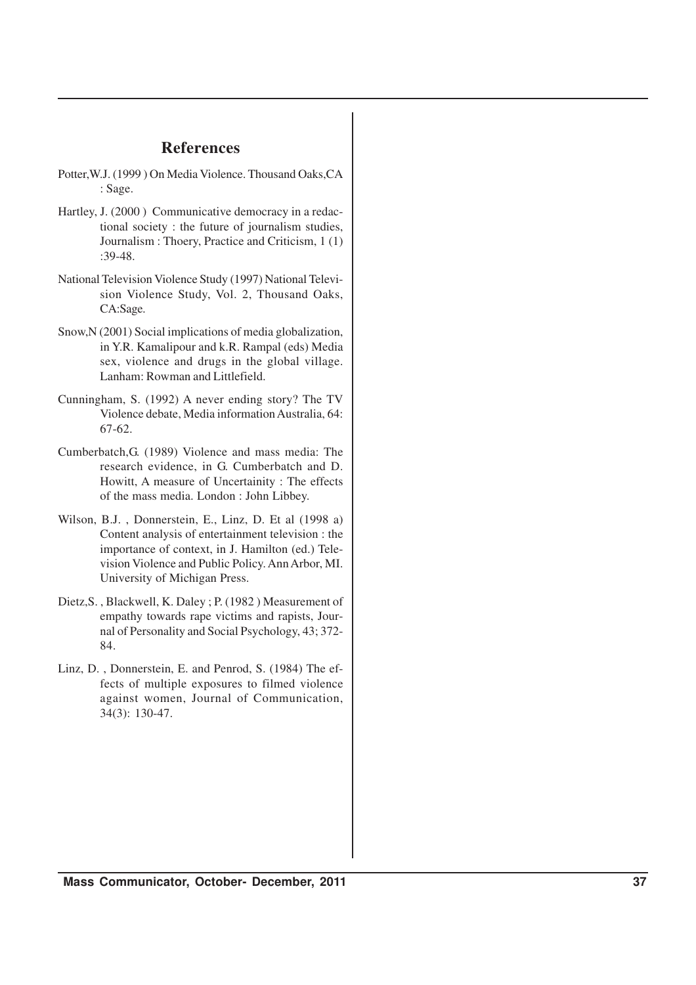## **References**

- Potter,W.J. (1999 ) On Media Violence. Thousand Oaks,CA : Sage.
- Hartley, J. (2000 ) Communicative democracy in a redactional society : the future of journalism studies, Journalism : Thoery, Practice and Criticism, 1 (1) :39-48.
- National Television Violence Study (1997) National Television Violence Study, Vol. 2, Thousand Oaks, CA:Sage.
- Snow,N (2001) Social implications of media globalization, in Y.R. Kamalipour and k.R. Rampal (eds) Media sex, violence and drugs in the global village. Lanham: Rowman and Littlefield.
- Cunningham, S. (1992) A never ending story? The TV Violence debate, Media information Australia, 64: 67-62.
- Cumberbatch,G. (1989) Violence and mass media: The research evidence, in G. Cumberbatch and D. Howitt, A measure of Uncertainity : The effects of the mass media. London : John Libbey.
- Wilson, B.J. , Donnerstein, E., Linz, D. Et al (1998 a) Content analysis of entertainment television : the importance of context, in J. Hamilton (ed.) Television Violence and Public Policy. Ann Arbor, MI. University of Michigan Press.
- Dietz,S. , Blackwell, K. Daley ; P. (1982 ) Measurement of empathy towards rape victims and rapists, Journal of Personality and Social Psychology, 43; 372- 84.
- Linz, D. , Donnerstein, E. and Penrod, S. (1984) The effects of multiple exposures to filmed violence against women, Journal of Communication, 34(3): 130-47.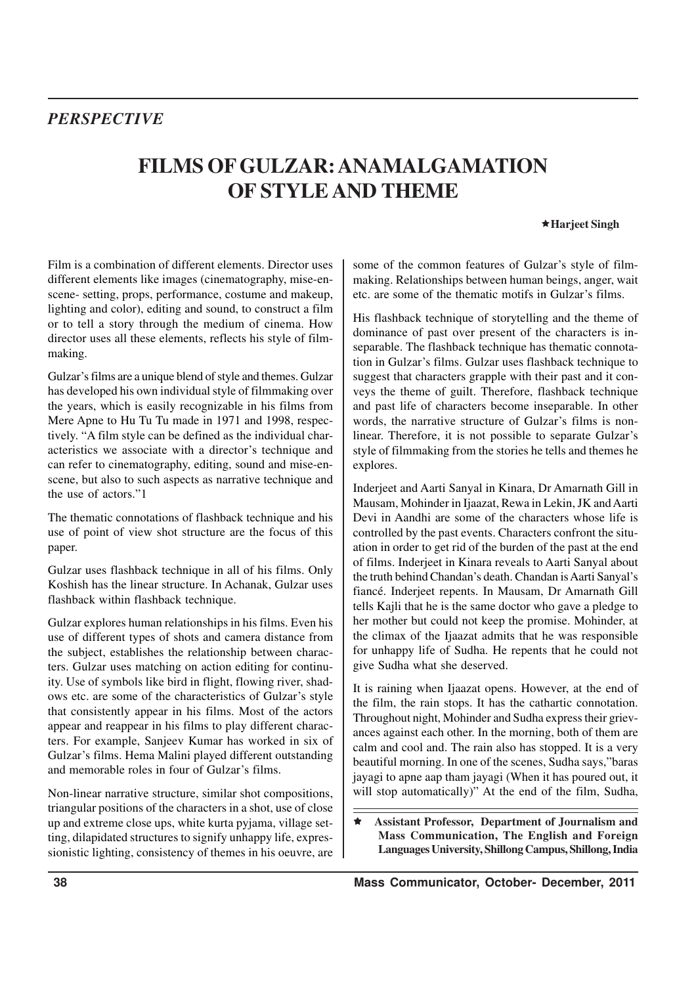## *PERSPECTIVE*

# **FILMS OF GULZAR: ANAMALGAMATION OF STYLE AND THEME**

ê**Harjeet Singh**

Film is a combination of different elements. Director uses different elements like images (cinematography, mise-enscene- setting, props, performance, costume and makeup, lighting and color), editing and sound, to construct a film or to tell a story through the medium of cinema. How director uses all these elements, reflects his style of filmmaking.

Gulzar's films are a unique blend of style and themes. Gulzar has developed his own individual style of filmmaking over the years, which is easily recognizable in his films from Mere Apne to Hu Tu Tu made in 1971 and 1998, respectively. "A film style can be defined as the individual characteristics we associate with a director's technique and can refer to cinematography, editing, sound and mise-enscene, but also to such aspects as narrative technique and the use of actors."1

The thematic connotations of flashback technique and his use of point of view shot structure are the focus of this paper.

Gulzar uses flashback technique in all of his films. Only Koshish has the linear structure. In Achanak, Gulzar uses flashback within flashback technique.

Gulzar explores human relationships in his films. Even his use of different types of shots and camera distance from the subject, establishes the relationship between characters. Gulzar uses matching on action editing for continuity. Use of symbols like bird in flight, flowing river, shadows etc. are some of the characteristics of Gulzar's style that consistently appear in his films. Most of the actors appear and reappear in his films to play different characters. For example, Sanjeev Kumar has worked in six of Gulzar's films. Hema Malini played different outstanding and memorable roles in four of Gulzar's films.

Non-linear narrative structure, similar shot compositions, triangular positions of the characters in a shot, use of close up and extreme close ups, white kurta pyjama, village setting, dilapidated structures to signify unhappy life, expressionistic lighting, consistency of themes in his oeuvre, are some of the common features of Gulzar's style of filmmaking. Relationships between human beings, anger, wait etc. are some of the thematic motifs in Gulzar's films.

His flashback technique of storytelling and the theme of dominance of past over present of the characters is inseparable. The flashback technique has thematic connotation in Gulzar's films. Gulzar uses flashback technique to suggest that characters grapple with their past and it conveys the theme of guilt. Therefore, flashback technique and past life of characters become inseparable. In other words, the narrative structure of Gulzar's films is nonlinear. Therefore, it is not possible to separate Gulzar's style of filmmaking from the stories he tells and themes he explores.

Inderjeet and Aarti Sanyal in Kinara, Dr Amarnath Gill in Mausam, Mohinder in Ijaazat, Rewa in Lekin, JK and Aarti Devi in Aandhi are some of the characters whose life is controlled by the past events. Characters confront the situation in order to get rid of the burden of the past at the end of films. Inderjeet in Kinara reveals to Aarti Sanyal about the truth behind Chandan's death. Chandan is Aarti Sanyal's fiancé. Inderjeet repents. In Mausam, Dr Amarnath Gill tells Kajli that he is the same doctor who gave a pledge to her mother but could not keep the promise. Mohinder, at the climax of the Ijaazat admits that he was responsible for unhappy life of Sudha. He repents that he could not give Sudha what she deserved.

It is raining when Ijaazat opens. However, at the end of the film, the rain stops. It has the cathartic connotation. Throughout night, Mohinder and Sudha express their grievances against each other. In the morning, both of them are calm and cool and. The rain also has stopped. It is a very beautiful morning. In one of the scenes, Sudha says,"baras jayagi to apne aap tham jayagi (When it has poured out, it will stop automatically)" At the end of the film, Sudha,

ê **Assistant Professor, Department of Journalism and Mass Communication, The English and Foreign Languages University, Shillong Campus, Shillong, India**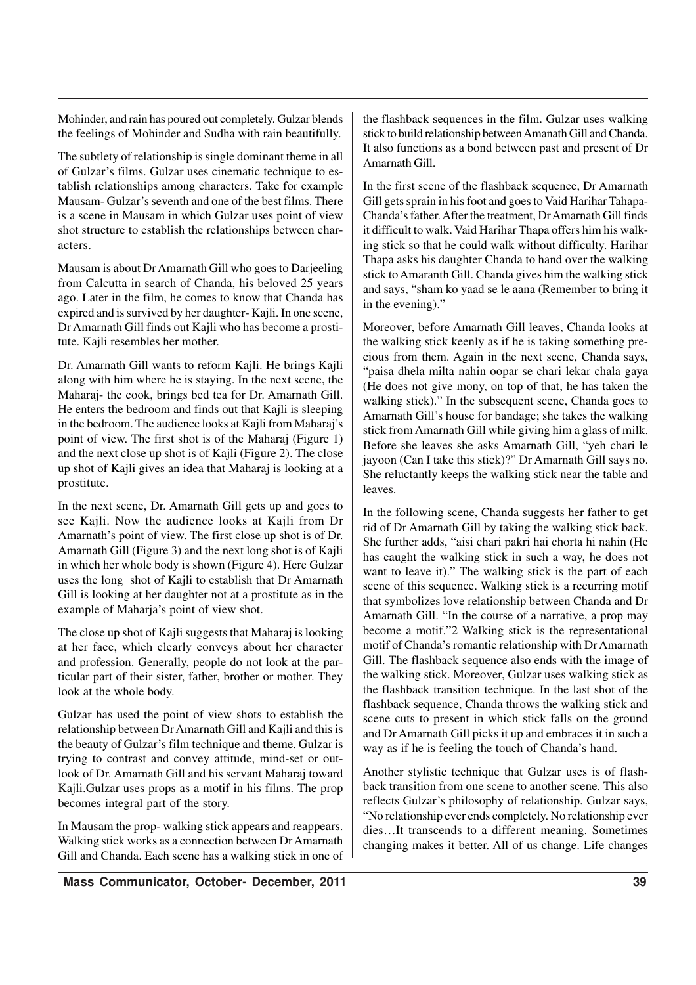Mohinder, and rain has poured out completely. Gulzar blends the feelings of Mohinder and Sudha with rain beautifully.

The subtlety of relationship is single dominant theme in all of Gulzar's films. Gulzar uses cinematic technique to establish relationships among characters. Take for example Mausam- Gulzar's seventh and one of the best films. There is a scene in Mausam in which Gulzar uses point of view shot structure to establish the relationships between characters.

Mausam is about Dr Amarnath Gill who goes to Darjeeling from Calcutta in search of Chanda, his beloved 25 years ago. Later in the film, he comes to know that Chanda has expired and is survived by her daughter- Kajli. In one scene, Dr Amarnath Gill finds out Kajli who has become a prostitute. Kajli resembles her mother.

Dr. Amarnath Gill wants to reform Kajli. He brings Kajli along with him where he is staying. In the next scene, the Maharaj- the cook, brings bed tea for Dr. Amarnath Gill. He enters the bedroom and finds out that Kajli is sleeping in the bedroom. The audience looks at Kajli from Maharaj's point of view. The first shot is of the Maharaj (Figure 1) and the next close up shot is of Kajli (Figure 2). The close up shot of Kajli gives an idea that Maharaj is looking at a prostitute.

In the next scene, Dr. Amarnath Gill gets up and goes to see Kajli. Now the audience looks at Kajli from Dr Amarnath's point of view. The first close up shot is of Dr. Amarnath Gill (Figure 3) and the next long shot is of Kajli in which her whole body is shown (Figure 4). Here Gulzar uses the long shot of Kajli to establish that Dr Amarnath Gill is looking at her daughter not at a prostitute as in the example of Maharja's point of view shot.

The close up shot of Kajli suggests that Maharaj is looking at her face, which clearly conveys about her character and profession. Generally, people do not look at the particular part of their sister, father, brother or mother. They look at the whole body.

Gulzar has used the point of view shots to establish the relationship between Dr Amarnath Gill and Kajli and this is the beauty of Gulzar's film technique and theme. Gulzar is trying to contrast and convey attitude, mind-set or outlook of Dr. Amarnath Gill and his servant Maharaj toward Kajli.Gulzar uses props as a motif in his films. The prop becomes integral part of the story.

In Mausam the prop- walking stick appears and reappears. Walking stick works as a connection between Dr Amarnath Gill and Chanda. Each scene has a walking stick in one of the flashback sequences in the film. Gulzar uses walking stick to build relationship between Amanath Gill and Chanda. It also functions as a bond between past and present of Dr Amarnath Gill.

In the first scene of the flashback sequence, Dr Amarnath Gill gets sprain in his foot and goes to Vaid Harihar Tahapa-Chanda's father. After the treatment, Dr Amarnath Gill finds it difficult to walk. Vaid Harihar Thapa offers him his walking stick so that he could walk without difficulty. Harihar Thapa asks his daughter Chanda to hand over the walking stick to Amaranth Gill. Chanda gives him the walking stick and says, "sham ko yaad se le aana (Remember to bring it in the evening)."

Moreover, before Amarnath Gill leaves, Chanda looks at the walking stick keenly as if he is taking something precious from them. Again in the next scene, Chanda says, "paisa dhela milta nahin oopar se chari lekar chala gaya (He does not give mony, on top of that, he has taken the walking stick)." In the subsequent scene, Chanda goes to Amarnath Gill's house for bandage; she takes the walking stick from Amarnath Gill while giving him a glass of milk. Before she leaves she asks Amarnath Gill, "yeh chari le jayoon (Can I take this stick)?" Dr Amarnath Gill says no. She reluctantly keeps the walking stick near the table and leaves.

In the following scene, Chanda suggests her father to get rid of Dr Amarnath Gill by taking the walking stick back. She further adds, "aisi chari pakri hai chorta hi nahin (He has caught the walking stick in such a way, he does not want to leave it)." The walking stick is the part of each scene of this sequence. Walking stick is a recurring motif that symbolizes love relationship between Chanda and Dr Amarnath Gill. "In the course of a narrative, a prop may become a motif."2 Walking stick is the representational motif of Chanda's romantic relationship with Dr Amarnath Gill. The flashback sequence also ends with the image of the walking stick. Moreover, Gulzar uses walking stick as the flashback transition technique. In the last shot of the flashback sequence, Chanda throws the walking stick and scene cuts to present in which stick falls on the ground and Dr Amarnath Gill picks it up and embraces it in such a way as if he is feeling the touch of Chanda's hand.

Another stylistic technique that Gulzar uses is of flashback transition from one scene to another scene. This also reflects Gulzar's philosophy of relationship. Gulzar says, "No relationship ever ends completely. No relationship ever dies…It transcends to a different meaning. Sometimes changing makes it better. All of us change. Life changes